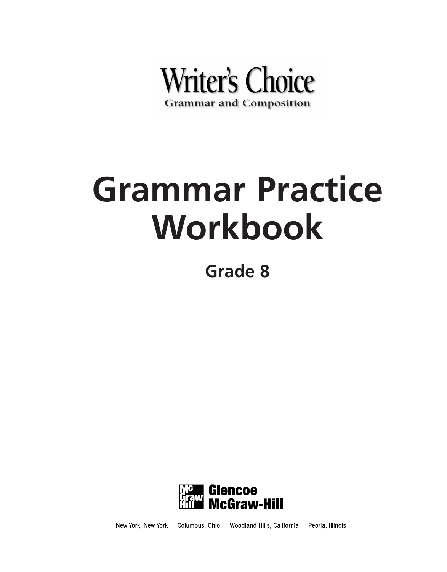

# **Grammar Practice Workbook**

**Grade 8**



Columbus, Ohio Woodland Hills, California Peoria, Illinois New York, New York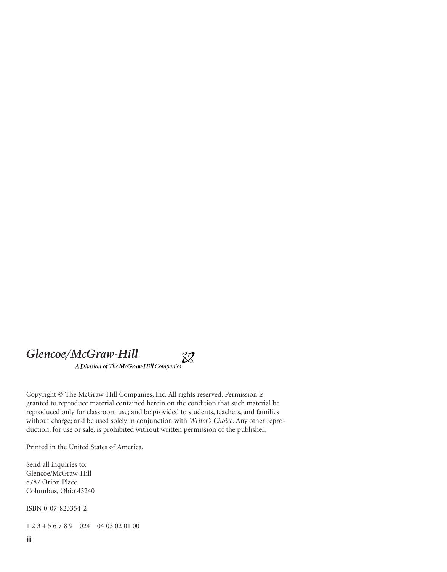# *Glencoe/McGraw-Hill*<br>A Division of The McGraw-Hill Companies

Copyright © The McGraw-Hill Companies, Inc. All rights reserved. Permission is granted to reproduce material contained herein on the condition that such material be reproduced only for classroom use; and be provided to students, teachers, and families without charge; and be used solely in conjunction with *Writer's Choice.* Any other reproduction, for use or sale, is prohibited without written permission of the publisher.

 $\chi$ 

Printed in the United States of America.

Send all inquiries to: Glencoe/McGraw-Hill 8787 Orion Place Columbus, Ohio 43240

ISBN 0-07-823354-2

1 2 3 4 5 6 7 8 9 024 04 03 02 01 00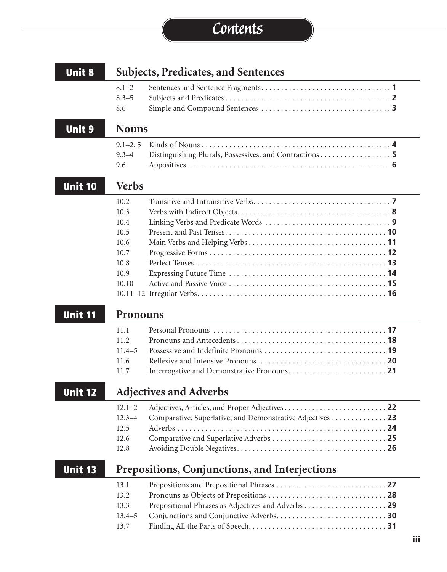# **Contents**

| <b>Unit 8</b><br><b>Subjects, Predicates, and Sentences</b> |                                                                                                               |  |
|-------------------------------------------------------------|---------------------------------------------------------------------------------------------------------------|--|
|                                                             | $8.1 - 2$<br>$8.3 - 5$<br>8.6                                                                                 |  |
| <b>Unit 9</b>                                               | <b>Nouns</b>                                                                                                  |  |
|                                                             | $9.1 - 2, 5$<br>$9.3 - 4$<br>Distinguishing Plurals, Possessives, and Contractions 5<br>9.6                   |  |
| <b>Unit 10</b>                                              | <b>Verbs</b>                                                                                                  |  |
|                                                             | 10.2<br>10.3<br>10.4<br>10.5<br>10.6<br>10.7<br>10.8<br>10.9<br>10.10                                         |  |
| <b>Unit 11</b>                                              | <b>Pronouns</b>                                                                                               |  |
|                                                             | 11.1<br>11.2<br>$11.4 - 5$<br>11.6<br>11.7                                                                    |  |
| <b>Unit 12</b>                                              | <b>Adjectives and Adverbs</b>                                                                                 |  |
|                                                             | $12.1 - 2$<br>Comparative, Superlative, and Demonstrative Adjectives 23<br>$12.3 - 4$<br>12.5<br>12.6<br>12.8 |  |
| Unit 13                                                     | <b>Prepositions, Conjunctions, and Interjections</b>                                                          |  |
|                                                             | 13.1<br>13.2<br>13.3<br>$13.4 - 5$<br>13.7                                                                    |  |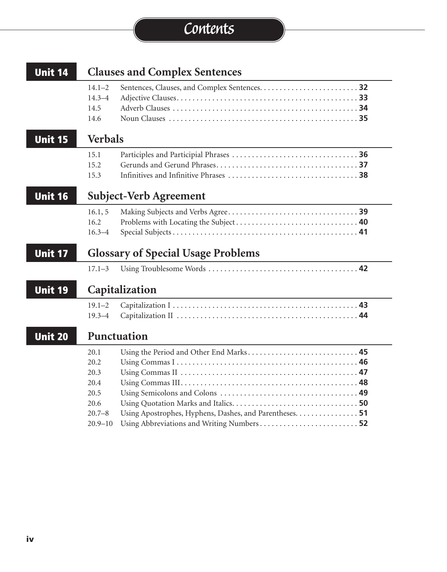# **Contents**

| <b>Unit 14</b><br><b>Clauses and Complex Sentences</b> |                                                            |                                                                                                    |
|--------------------------------------------------------|------------------------------------------------------------|----------------------------------------------------------------------------------------------------|
|                                                        | $14.1 - 2$<br>$14.3 - 4$<br>14.5<br>14.6                   |                                                                                                    |
| <b>Unit 15</b>                                         | <b>Verbals</b>                                             |                                                                                                    |
|                                                        | 15.1<br>15.2<br>15.3                                       |                                                                                                    |
| <b>Unit 16</b>                                         |                                                            | Subject-Verb Agreement                                                                             |
|                                                        | 16.1, 5<br>16.2<br>$16.3 - 4$                              |                                                                                                    |
| <b>Unit 17</b>                                         |                                                            | <b>Glossary of Special Usage Problems</b>                                                          |
|                                                        | $17.1 - 3$                                                 |                                                                                                    |
| <b>Unit 19</b>                                         |                                                            | Capitalization                                                                                     |
|                                                        | $19.1 - 2$<br>$19.3 - 4$                                   |                                                                                                    |
| <b>Unit 20</b>                                         |                                                            | Punctuation                                                                                        |
|                                                        | 20.1<br>20.2<br>20.3<br>20.4<br>20.5<br>20.6<br>$20.7 - 8$ | Using the Period and Other End Marks 45<br>Using Apostrophes, Hyphens, Dashes, and Parentheses. 51 |
|                                                        | $20.9 - 10$                                                | Using Abbreviations and Writing Numbers 52                                                         |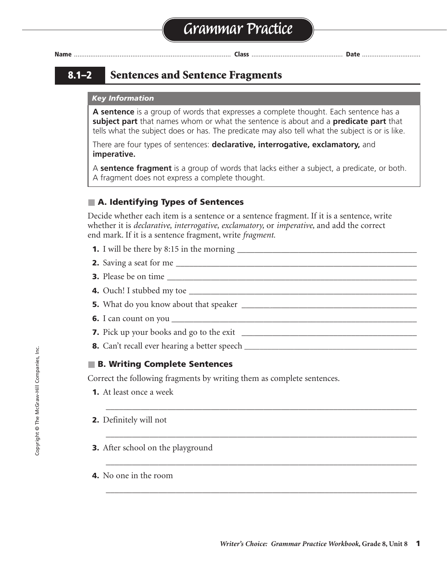# **8.1–2 Sentences and Sentence Fragments**

#### *Key Information*

**A sentence** is a group of words that expresses a complete thought. Each sentence has a **subject part** that names whom or what the sentence is about and a **predicate part** that tells what the subject does or has. The predicate may also tell what the subject is or is like.

There are four types of sentences: **declarative, interrogative, exclamatory,** and **imperative.**

A **sentence fragment** is a group of words that lacks either a subject, a predicate, or both. A fragment does not express a complete thought.

#### ■ **A. Identifying Types of Sentences**

Decide whether each item is a sentence or a sentence fragment. If it is a sentence, write whether it is *declarative, interrogative, exclamatory,* or *imperative,* and add the correct end mark. If it is a sentence fragment, write *fragment.*

- **1.** I will be there by 8:15 in the morning \_\_\_\_\_\_\_\_\_\_\_\_\_\_\_\_\_\_\_\_\_\_\_\_\_\_\_\_\_\_\_\_\_\_\_\_\_\_\_\_\_ . declarative
- **2.** Saving a seat for me \_\_\_\_\_\_\_\_\_\_\_\_\_\_\_\_\_\_\_\_\_\_\_\_\_\_\_\_\_\_\_\_\_\_\_\_\_\_\_\_\_\_\_\_\_\_\_\_\_\_\_\_\_\_\_ fragment
- **3.** Please be on time \_\_\_\_\_\_\_\_\_\_\_\_\_\_\_\_\_\_\_\_\_\_\_\_\_\_\_\_\_\_\_\_\_\_\_\_\_\_\_\_\_\_\_\_\_\_\_\_\_\_\_\_\_\_\_\_\_ . imperative

\_\_\_\_\_\_\_\_\_\_\_\_\_\_\_\_\_\_\_\_\_\_\_\_\_\_\_\_\_\_\_\_\_\_\_\_\_\_\_\_\_\_\_\_\_\_\_\_\_\_\_\_\_\_\_\_\_\_\_\_\_\_\_\_\_\_\_\_\_\_\_

\_\_\_\_\_\_\_\_\_\_\_\_\_\_\_\_\_\_\_\_\_\_\_\_\_\_\_\_\_\_\_\_\_\_\_\_\_\_\_\_\_\_\_\_\_\_\_\_\_\_\_\_\_\_\_\_\_\_\_\_\_\_\_\_\_\_\_\_\_\_\_

\_\_\_\_\_\_\_\_\_\_\_\_\_\_\_\_\_\_\_\_\_\_\_\_\_\_\_\_\_\_\_\_\_\_\_\_\_\_\_\_\_\_\_\_\_\_\_\_\_\_\_\_\_\_\_\_\_\_\_\_\_\_\_\_\_\_\_\_\_\_\_

\_\_\_\_\_\_\_\_\_\_\_\_\_\_\_\_\_\_\_\_\_\_\_\_\_\_\_\_\_\_\_\_\_\_\_\_\_\_\_\_\_\_\_\_\_\_\_\_\_\_\_\_\_\_\_\_\_\_\_\_\_\_\_\_\_\_\_\_\_\_\_

- **4.** Ouch! I stubbed my toe \_\_\_\_\_\_\_\_\_\_\_\_\_\_\_\_\_\_\_\_\_\_\_\_\_\_\_\_\_\_\_\_\_\_\_\_\_\_\_\_\_\_\_\_\_\_\_\_\_\_\_\_ ! exclamatory
- **5.** What do you know about that speaker \_\_\_\_\_\_\_\_\_\_\_\_\_\_\_\_\_\_\_\_\_\_\_\_\_\_\_\_\_\_\_\_\_\_\_\_\_\_\_\_ ? interrogative
- **6.** I can count on you \_\_\_\_\_\_\_\_\_\_\_\_\_\_\_\_\_\_\_\_\_\_\_\_\_\_\_\_\_\_\_\_\_\_\_\_\_\_\_\_\_\_\_\_\_\_\_\_\_\_\_\_\_\_\_\_ . declarative
- **7.** Pick up your books and go to the exit \_\_\_\_\_\_\_\_\_\_\_\_\_\_\_\_\_\_\_\_\_\_\_\_\_\_\_\_\_\_\_\_\_\_\_\_\_\_\_\_ . imperative
- **8.** Can't recall ever hearing a better speech **\_\_\_\_\_\_\_\_\_\_\_\_\_\_\_\_\_\_\_\_\_\_\_\_\_\_\_\_\_\_\_\_\_\_\_\_\_\_\_\_\_\_\_\_\_** fragment

#### ■ **B. Writing Complete Sentences**

Correct the following fragments by writing them as complete sentences.

- **1.** At least once a week
- **2.** Definitely will not
- **3.** After school on the playground
- **4.** No one in the room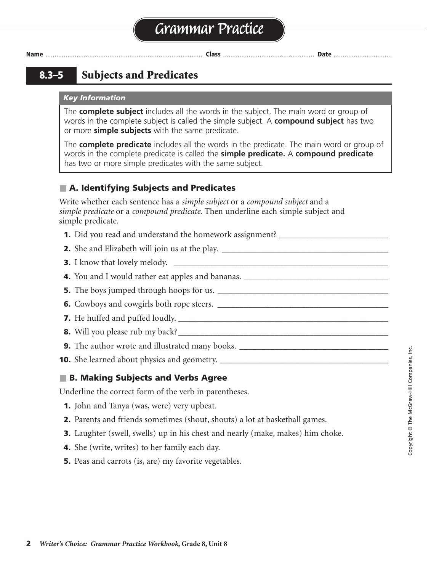**8.3–5 Subjects and Predicates**

#### *Key Information*

The **complete subject** includes all the words in the subject. The main word or group of words in the complete subject is called the simple subject. A **compound subject** has two or more **simple subjects** with the same predicate.

The **complete predicate** includes all the words in the predicate. The main word or group of words in the complete predicate is called the **simple predicate.** A **compound predicate** has two or more simple predicates with the same subject.

# ■ **A. Identifying Subjects and Predicates**

Write whether each sentence has a *simple subject* or a *compound subject* and a *simple predicate* or a *compound predicate.* Then underline each simple subject and simple predicate.

- **1.** Did you read and understand the homework assignment? \_\_\_\_\_\_\_\_\_\_\_\_\_\_\_\_\_\_\_\_\_\_\_
- **2.** She and Elizabeth will join us at the play. \_\_\_\_\_\_\_\_\_\_\_\_\_\_\_\_\_\_\_\_\_\_\_\_\_\_\_\_\_\_\_\_\_\_\_\_\_\_ compound subject, simple predicate
- **3.** I know that lovely melody. \_\_\_\_\_\_\_\_\_\_\_\_\_\_\_\_\_\_\_\_\_\_\_\_\_\_\_\_\_\_\_\_\_\_\_\_\_\_\_\_\_\_\_\_\_\_\_\_\_ simple subject, simple predicate
- **4.** You and I would rather eat apples and bananas. \_\_\_\_\_\_\_\_\_\_\_\_\_\_\_\_\_\_\_\_\_\_\_\_\_\_\_\_\_\_\_\_\_ compound subject, simple predicate
- **5.** The boys jumped through hoops for us. \_\_\_\_\_\_\_\_\_\_\_\_\_\_\_\_\_\_\_\_\_\_\_\_\_\_\_\_\_\_\_\_\_\_\_\_\_\_\_ simple subject, simple predicate
- **6.** Cowboys and cowgirls both rope steers. \_\_\_\_\_\_\_\_\_\_\_\_\_\_\_\_\_\_\_\_\_\_\_\_\_\_\_\_\_\_\_\_\_\_\_\_\_\_\_ compound subject, simple predicate
- **7.** He huffed and puffed loudly. \_\_\_\_\_\_\_\_\_\_\_\_\_\_\_\_\_\_\_\_\_\_\_\_\_\_\_\_\_\_\_\_\_\_\_\_\_\_\_\_\_\_\_\_\_\_\_\_ simple subject, compound predicate
- **8.** Will you please rub my back?\_\_\_\_\_\_\_\_\_\_\_\_\_\_\_\_\_\_\_\_\_\_\_\_\_\_\_\_\_\_\_\_\_\_\_\_\_\_\_\_\_\_\_\_\_\_\_\_ simple subject, simple predicate
- **9.** The author wrote and illustrated many books. \_\_\_\_\_\_\_\_\_\_\_\_\_\_\_\_\_\_\_\_\_\_\_\_\_\_\_\_\_\_\_\_\_\_ simple subject, compound predicate
- **10.** She learned about physics and geometry. \_\_\_\_\_\_\_\_\_\_\_\_\_\_\_\_\_\_\_\_\_\_\_\_\_\_\_\_\_\_\_\_\_\_\_

### ■ **B. Making Subjects and Verbs Agree**

Underline the correct form of the verb in parentheses.

- **1.** John and Tanya (was, were) very upbeat.
- **2.** Parents and friends sometimes (shout, shouts) a lot at basketball games.
- **3.** Laughter (swell, swells) up in his chest and nearly (make, makes) him choke.
- **4.** She (write, writes) to her family each day.
- **5.** Peas and carrots (is, are) my favorite vegetables.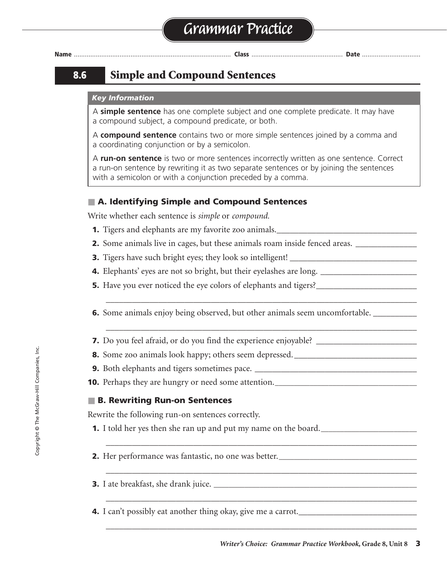# **8.6 Simple and Compound Sentences**

#### *Key Information*

A **simple sentence** has one complete subject and one complete predicate. It may have a compound subject, a compound predicate, or both.

A **compound sentence** contains two or more simple sentences joined by a comma and a coordinating conjunction or by a semicolon.

A **run-on sentence** is two or more sentences incorrectly written as one sentence. Correct a run-on sentence by rewriting it as two separate sentences or by joining the sentences with a semicolon or with a conjunction preceded by a comma.

### ■ **A. Identifying Simple and Compound Sentences**

Write whether each sentence is *simple* or *compound.*

- **1.** Tigers and elephants are my favorite zoo animals.\_\_\_\_\_\_\_\_\_\_\_\_\_\_\_\_\_\_\_\_\_\_\_\_\_\_\_\_\_\_\_\_ simple
- **2.** Some animals live in cages, but these animals roam inside fenced areas. \_\_\_\_\_\_\_\_\_\_\_\_\_\_ compound
- **3.** Tigers have such bright eyes; they look so intelligent! \_\_\_\_\_\_\_\_\_\_\_\_\_\_\_\_\_\_\_\_\_\_\_\_\_\_\_\_\_ compound
- **4.** Elephants' eyes are not so bright, but their eyelashes are long. \_\_\_\_\_\_\_\_\_\_\_\_\_\_\_\_\_\_\_\_\_\_ compound
- **5.** Have you ever noticed the eye colors of elephants and tigers?\_\_\_\_\_\_\_\_\_\_\_\_\_\_\_\_\_\_\_\_\_\_\_ simple
- **6.** Some animals enjoy being observed, but other animals seem uncomfortable. \_\_\_\_\_\_\_\_\_

\_\_\_\_\_\_\_\_\_\_\_\_\_\_\_\_\_\_\_\_\_\_\_\_\_\_\_\_\_\_\_\_\_\_\_\_\_\_\_\_\_\_\_\_\_\_\_\_\_\_\_\_\_\_\_\_\_\_\_\_\_\_\_\_\_\_\_\_\_\_\_

\_\_\_\_\_\_\_\_\_\_\_\_\_\_\_\_\_\_\_\_\_\_\_\_\_\_\_\_\_\_\_\_\_\_\_\_\_\_\_\_\_\_\_\_\_\_\_\_\_\_\_\_\_\_\_\_\_\_\_\_\_\_\_\_\_\_\_\_\_\_\_

\_\_\_\_\_\_\_\_\_\_\_\_\_\_\_\_\_\_\_\_\_\_\_\_\_\_\_\_\_\_\_\_\_\_\_\_\_\_\_\_\_\_\_\_\_\_\_\_\_\_\_\_\_\_\_\_\_\_\_\_\_\_\_\_\_\_\_\_\_\_\_

\_\_\_\_\_\_\_\_\_\_\_\_\_\_\_\_\_\_\_\_\_\_\_\_\_\_\_\_\_\_\_\_\_\_\_\_\_\_\_\_\_\_\_\_\_\_\_\_\_\_\_\_\_\_\_\_\_\_\_\_\_\_\_\_\_\_\_\_\_\_\_

\_\_\_\_\_\_\_\_\_\_\_\_\_\_\_\_\_\_\_\_\_\_\_\_\_\_\_\_\_\_\_\_\_\_\_\_\_\_\_\_\_\_\_\_\_\_\_\_\_\_\_\_\_\_\_\_\_\_\_\_\_\_\_\_\_\_\_\_\_\_\_

\_\_\_\_\_\_\_\_\_\_\_\_\_\_\_\_\_\_\_\_\_\_\_\_\_\_\_\_\_\_\_\_\_\_\_\_\_\_\_\_\_\_\_\_\_\_\_\_\_\_\_\_\_\_\_\_\_\_\_\_\_\_\_\_\_\_\_\_\_\_\_

- **7.** Do you feel afraid, or do you find the experience enjoyable? \_\_\_\_\_\_\_\_\_\_\_\_\_\_\_\_\_\_\_\_\_\_\_ compound
- **8.** Some zoo animals look happy; others seem depressed. \_\_\_\_\_\_\_\_\_\_\_\_\_\_\_\_\_\_\_\_\_\_\_\_\_\_\_\_ compound
- **9.** Both elephants and tigers sometimes pace. \_\_\_\_\_\_\_\_\_\_\_\_\_\_\_\_\_\_\_\_\_\_\_\_\_\_\_\_\_\_\_\_\_\_\_\_\_ simple
- **10.** Perhaps they are hungry or need some attention.**\_\_\_\_\_\_\_\_\_\_\_\_\_\_\_\_\_\_\_\_\_\_\_\_\_\_\_\_\_\_\_\_\_\_\_\_\_** simple

### ■ **B. Rewriting Run-on Sentences**

Rewrite the following run-on sentences correctly.

- **1.** I told her yes then she ran up and put my name on the board.**\_\_\_\_\_\_\_\_\_\_\_\_\_\_\_\_\_\_\_\_\_\_\_\_\_**
- **2.** Her performance was fantastic, no one was better.**\_\_\_\_\_\_\_\_\_\_\_\_\_\_\_\_\_\_\_\_\_\_\_\_\_\_\_\_\_\_\_\_\_\_\_\_**
- **3.** I ate breakfast, she drank juice. **\_\_\_\_\_\_\_\_\_\_\_\_\_\_\_\_\_\_\_\_\_\_\_\_\_\_\_\_\_\_\_\_\_\_\_\_\_\_\_\_\_\_\_\_\_\_\_\_\_\_\_\_\_**
- **4.** I can't possibly eat another thing okay, give me a carrot.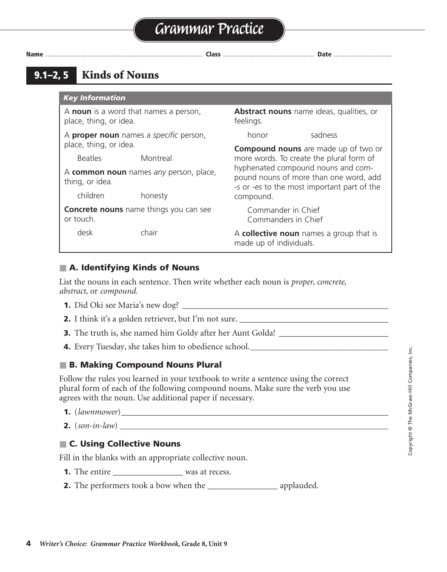**9.1–2, 5 Kinds of Nouns**

### *Key Information*

A **collective noun** names a group that is made up of individuals.

<u>concrete de la pro</u>

### ■ **A. Identifying Kinds of Nouns**

List the nouns in each sentence. Then write whether each noun is *proper, concrete, abstract,* or *compound.*

- **1.** Did Oki see Maria's new dog? \_\_\_\_\_\_\_\_\_\_\_\_\_\_\_\_\_\_\_\_\_\_\_\_\_\_\_\_\_\_\_\_\_\_\_\_\_\_\_\_\_\_\_\_\_\_\_ proper, concrete; proper, concrete; concrete
- **2.** I think it's a golden retriever, but I'm not sure. \_\_\_\_\_\_\_\_\_\_\_\_\_\_\_\_\_\_\_\_\_\_\_\_\_\_\_\_\_\_\_\_\_\_ concrete
- **3.** The truth is, she named him Goldy after her Aunt Golda! \_\_\_\_\_\_\_\_\_\_\_\_\_\_\_\_\_\_\_\_\_\_\_\_\_\_
- **4.** Every Tuesday, she takes him to obedience school.**\_\_\_\_\_\_\_\_\_\_\_\_\_\_\_\_\_\_\_\_\_\_\_\_\_\_\_\_\_\_\_\_\_\_\_\_** proper, abstract; concrete

### ■ **B. Making Compound Nouns Plural**

Follow the rules you learned in your textbook to write a sentence using the correct plural form of each of the following compound nouns. Make sure the verb you use agrees with the noun. Use additional paper if necessary.

- **1.** (*lawnmower*)*\_\_\_\_\_\_\_\_\_\_\_\_\_\_\_\_\_\_\_\_\_\_\_\_\_\_\_\_\_\_\_\_\_\_\_\_\_\_\_\_\_\_\_\_\_\_\_\_\_\_\_\_\_\_\_\_\_\_\_\_\_* lawnmowers
- **2.** (*son-in-law*) **\_\_\_\_\_\_\_\_\_\_\_\_\_\_\_\_\_\_\_\_\_\_\_\_\_\_\_\_\_\_\_\_\_\_\_\_\_\_\_\_\_\_\_\_\_\_\_\_\_\_\_\_\_\_\_\_\_\_\_\_\_\_\_\_\_\_\_\_\_\_** sons-in-law

### ■ **C. Using Collective Nouns**

Fill in the blanks with an appropriate collective noun.

- **1.** The entire \_\_\_\_\_\_\_\_\_\_\_\_\_\_\_\_\_\_\_ was at recess.
- **2.** The performers took a bow when the *\_\_\_\_\_\_\_\_\_\_\_\_\_\_\_\_\_\_* applauded.

| <b>Rey Information</b>                                          |                                               |                                                                                                                             |                                             |  |
|-----------------------------------------------------------------|-----------------------------------------------|-----------------------------------------------------------------------------------------------------------------------------|---------------------------------------------|--|
| A noun is a word that names a person,<br>place, thing, or idea. |                                               | Abstract nouns name ideas, qualities, or<br>feelings.                                                                       |                                             |  |
|                                                                 | A proper noun names a specific person,        | honor                                                                                                                       | sadness                                     |  |
| place, thing, or idea.                                          |                                               |                                                                                                                             | <b>Compound nouns</b> are made up of two or |  |
| <b>Beatles</b>                                                  | Montreal                                      |                                                                                                                             | more words. To create the plural form of    |  |
| A common noun names any person, place,<br>thing, or idea.       |                                               | hyphenated compound nouns and com-<br>pound nouns of more than one word, add<br>-s or -es to the most important part of the |                                             |  |
| children                                                        | honesty                                       | compound.                                                                                                                   |                                             |  |
| or touch.                                                       | <b>Concrete nouns</b> name things you can see | Commander in Chief<br>Commanders in Chief                                                                                   |                                             |  |
| desk                                                            | chair                                         | made un of individuals                                                                                                      | A collective noun names a group that is     |  |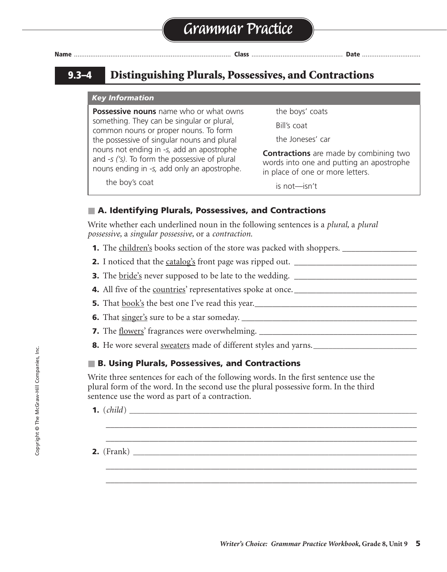# **9.3–4 Distinguishing Plurals, Possessives, and Contractions**

#### *Key Information*

**Possessive nouns** name who or what owns something. They can be singular or plural, common nouns or proper nouns. To form the possessive of singular nouns and plural nouns not ending in *-s,* add an apostrophe and *-s ('s)*. To form the possessive of plural nouns ending in *-s,* add only an apostrophe.

the boy's coat

the boys' coats Bill's coat

the Joneses' car

**Contractions** are made by combining two words into one and putting an apostrophe in place of one or more letters.

is not—isn't

# ■ **A. Identifying Plurals, Possessives, and Contractions**

Write whether each underlined noun in the following sentences is a *plural,* a *plural possessive,* a *singular possessive,* or a *contraction.*

- **1.** The children's books section of the store was packed with shoppers. \_\_\_\_\_\_\_\_\_\_\_\_\_\_\_\_\_ plural possessive
- **2.** I noticed that the catalog's front page was ripped out. \_\_\_\_\_\_\_\_\_\_\_\_\_\_\_\_\_\_\_\_\_\_\_\_\_\_\_\_ singular possessive
- **3.** The bride's never supposed to be late to the wedding. \_\_\_\_\_\_\_\_\_\_\_\_\_\_\_\_\_\_\_\_\_\_\_\_\_\_\_\_ contraction

**4.** All five of the countries' representatives spoke at once. \_\_\_\_\_\_\_\_\_\_\_\_\_\_\_\_\_\_\_\_\_\_\_\_\_\_\_\_ plural possessive

- **5.** That book's the best one I've read this year.\_\_\_\_\_\_\_\_\_\_\_\_\_\_\_\_\_\_\_\_\_\_\_\_\_\_\_\_\_\_\_\_\_\_\_\_\_ contraction
- **6.** That singer's sure to be a star someday. \_\_\_\_\_\_\_\_\_\_\_\_\_\_\_\_\_\_\_\_\_\_\_\_\_\_\_\_\_\_\_\_\_\_\_\_\_\_\_\_ contraction
- **7.** The flowers' fragrances were overwhelming. \_\_\_\_\_\_\_\_\_\_\_\_\_\_\_\_\_\_\_\_\_\_\_\_\_\_\_\_\_\_\_\_\_\_\_\_ plural possessive
- **8.** He wore several sweaters made of different styles and yarns.**\_\_\_\_\_\_\_\_\_\_\_\_\_\_\_\_\_\_\_\_\_\_\_\_\_\_\_** plural

# ■ **B. Using Plurals, Possessives, and Contractions**

Write three sentences for each of the following words. In the first sentence use the plural form of the word. In the second use the plural possessive form. In the third sentence use the word as part of a contraction.

\_\_\_\_\_\_\_\_\_\_\_\_\_\_\_\_\_\_\_\_\_\_\_\_\_\_\_\_\_\_\_\_\_\_\_\_\_\_\_\_\_\_\_\_\_\_\_\_\_\_\_\_\_\_\_\_\_\_\_\_\_\_\_\_\_\_\_\_\_\_\_ \_\_\_\_\_\_\_\_\_\_\_\_\_\_\_\_\_\_\_\_\_\_\_\_\_\_\_\_\_\_\_\_\_\_\_\_\_\_\_\_\_\_\_\_\_\_\_\_\_\_\_\_\_\_\_\_\_\_\_\_\_\_\_\_\_\_\_\_\_\_\_

\_\_\_\_\_\_\_\_\_\_\_\_\_\_\_\_\_\_\_\_\_\_\_\_\_\_\_\_\_\_\_\_\_\_\_\_\_\_\_\_\_\_\_\_\_\_\_\_\_\_\_\_\_\_\_\_\_\_\_\_\_\_\_\_\_\_\_\_\_\_\_ \_\_\_\_\_\_\_\_\_\_\_\_\_\_\_\_\_\_\_\_\_\_\_\_\_\_\_\_\_\_\_\_\_\_\_\_\_\_\_\_\_\_\_\_\_\_\_\_\_\_\_\_\_\_\_\_\_\_\_\_\_\_\_\_\_\_\_\_\_\_\_

**1.** (*child*) **\_\_\_\_\_\_\_\_\_\_\_\_\_\_\_\_\_\_\_\_\_\_\_\_\_\_\_\_\_\_\_\_\_\_\_\_\_\_\_\_\_\_\_\_\_\_\_\_\_\_\_\_\_\_\_\_\_\_\_\_\_\_\_\_\_\_\_\_\_\_\_\_\_\_\_** children

**2.** (Frank) **\_\_\_\_\_\_\_\_\_\_\_\_\_\_\_\_\_\_\_\_\_\_\_\_\_\_\_\_\_\_\_\_\_\_\_\_\_\_\_\_\_\_\_\_\_\_\_\_\_\_\_\_\_\_\_\_\_\_\_\_\_\_\_\_\_\_\_\_\_\_\_\_\_\_** Franks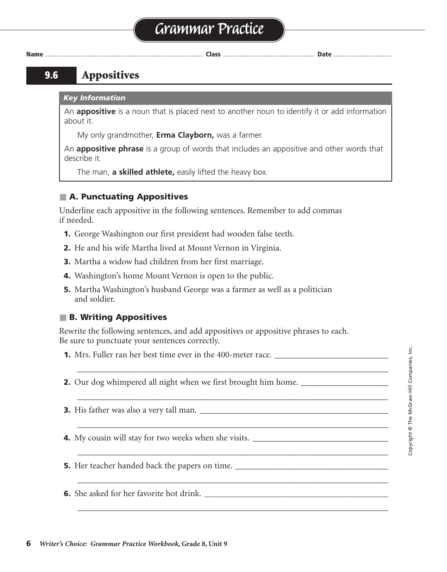# **Grammar Practice**

**Name** ...................................................................................... **Class** .................................................. **Date** ................................

# **9.6 Appositives**

#### *Key Information*

An **appositive** is a noun that is placed next to another noun to identify it or add information about it.

My only grandmother, **Erma Clayborn,** was a farmer.

An **appositive phrase** is a group of words that includes an appositive and other words that describe it.

The man, **a skilled athlete,** easily lifted the heavy box.

# ■ **A. Punctuating Appositives**

Underline each appositive in the following sentences. Remember to add commas if needed.

- **1.** George Washington our first president had wooden false teeth.
- **2.** He and his wife Martha lived at Mount Vernon in Virginia.
- **3.** Martha a widow had children from her first marriage.
- **4.** Washington's home Mount Vernon is open to the public.
- **5.** Martha Washington's husband George was a farmer as well as a politician and soldier.

# ■ **B. Writing Appositives**

Rewrite the following sentences, and add appositives or appositive phrases to each. Be sure to punctuate your sentences correctly.

\_\_\_\_\_\_\_\_\_\_\_\_\_\_\_\_\_\_\_\_\_\_\_\_\_\_\_\_\_\_\_\_\_\_\_\_\_\_\_\_\_\_\_\_\_\_\_\_\_\_\_\_\_\_\_\_\_\_\_\_\_\_\_\_\_\_\_\_\_\_\_

\_\_\_\_\_\_\_\_\_\_\_\_\_\_\_\_\_\_\_\_\_\_\_\_\_\_\_\_\_\_\_\_\_\_\_\_\_\_\_\_\_\_\_\_\_\_\_\_\_\_\_\_\_\_\_\_\_\_\_\_\_\_\_\_\_\_\_\_\_\_\_

\_\_\_\_\_\_\_\_\_\_\_\_\_\_\_\_\_\_\_\_\_\_\_\_\_\_\_\_\_\_\_\_\_\_\_\_\_\_\_\_\_\_\_\_\_\_\_\_\_\_\_\_\_\_\_\_\_\_\_\_\_\_\_\_\_\_\_\_\_\_\_

\_\_\_\_\_\_\_\_\_\_\_\_\_\_\_\_\_\_\_\_\_\_\_\_\_\_\_\_\_\_\_\_\_\_\_\_\_\_\_\_\_\_\_\_\_\_\_\_\_\_\_\_\_\_\_\_\_\_\_\_\_\_\_\_\_\_\_\_\_\_\_

\_\_\_\_\_\_\_\_\_\_\_\_\_\_\_\_\_\_\_\_\_\_\_\_\_\_\_\_\_\_\_\_\_\_\_\_\_\_\_\_\_\_\_\_\_\_\_\_\_\_\_\_\_\_\_\_\_\_\_\_\_\_\_\_\_\_\_\_\_\_\_

\_\_\_\_\_\_\_\_\_\_\_\_\_\_\_\_\_\_\_\_\_\_\_\_\_\_\_\_\_\_\_\_\_\_\_\_\_\_\_\_\_\_\_\_\_\_\_\_\_\_\_\_\_\_\_\_\_\_\_\_\_\_\_\_\_\_\_\_\_\_\_

- **1.** Mrs. Fuller ran her best time ever in the 400-meter race. \_\_\_\_\_\_\_\_\_\_\_\_\_\_\_\_\_\_
- **2.** Our dog whimpered all night when we first brought him home.
- **3.** His father was also a very tall man. \_\_\_\_\_\_\_\_\_\_\_\_\_\_\_\_\_\_\_\_\_\_\_\_\_\_\_\_\_\_\_\_\_\_\_\_\_\_\_\_\_\_\_
- **4.** My cousin will stay for two weeks when she visits. \_\_\_\_\_\_\_\_\_\_\_\_\_\_\_\_\_\_\_\_\_\_\_\_\_\_\_\_\_\_\_
- **5.** Her teacher handed back the papers on time. \_\_\_\_\_\_\_\_\_\_\_\_\_\_\_\_\_\_\_\_\_\_\_\_\_\_\_\_\_\_\_\_\_\_\_
- **6.** She asked for her favorite hot drink. **\_\_\_\_\_\_\_\_\_\_\_\_\_\_\_\_\_\_\_\_\_\_\_\_\_\_\_\_\_\_\_\_\_\_\_\_\_\_\_\_\_\_\_\_\_\_\_\_**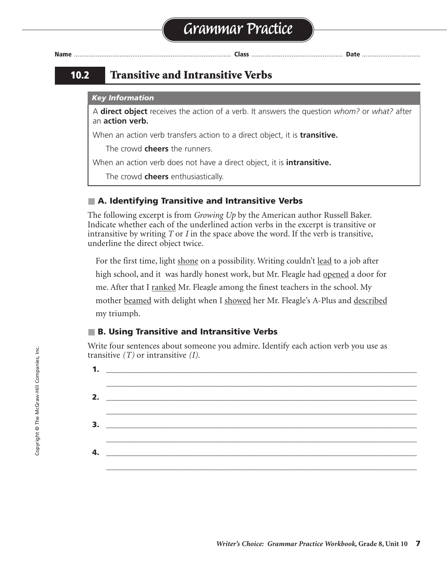

# **10.2 Transitive and Intransitive Verbs**

#### *Key Information*

A **direct object** receives the action of a verb. It answers the question *whom?* or *what?* after an **action verb.**

When an action verb transfers action to a direct object, it is **transitive.**

The crowd **cheers** the runners.

When an action verb does not have a direct object, it is **intransitive.**

The crowd **cheers** enthusiastically.

# ■ **A. Identifying Transitive and Intransitive Verbs**

The following excerpt is from *Growing Up* by the American author Russell Baker. Indicate whether each of the underlined action verbs in the excerpt is transitive or intransitive by writing *T* or *I* in the space above the word. If the verb is transitive, underline the direct object twice.

For the first time, light <u>shone</u> on a possibility. Writing couldn't <u>lead</u> to a job after high school, and it was hardly honest work, but Mr. Fleagle had opened a door for me. After that I <u>ranked</u> Mr. Fleagle among the finest teachers in the school. My mother beamed with delight when I showed her Mr. Fleagle's A-Plus and described my triumph.

# ■ **B. Using Transitive and Intransitive Verbs**

Write four sentences about someone you admire. Identify each action verb you use as transitive *(T)* or intransitive *(I).*

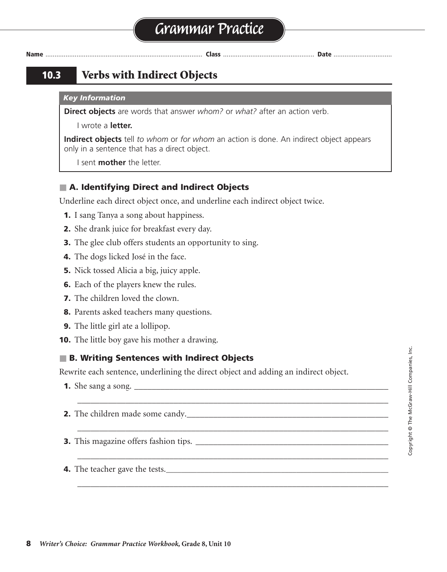# **10.3 Verbs with Indirect Objects**

#### *Key Information*

**Direct objects** are words that answer *whom?* or *what?* after an action verb.

I wrote a **letter.**

**Indirect objects** tell *to whom* or *for whom* an action is done. An indirect object appears only in a sentence that has a direct object.

I sent **mother** the letter.

# ■ **A. Identifying Direct and Indirect Objects**

Underline each direct object once, and underline each indirect object twice.

- **1.** I sang Tanya a song about happiness.
- **2.** She drank juice for breakfast every day.
- **3.** The glee club offers students an opportunity to sing.
- **4.** The dogs licked José in the face.
- **5.** Nick tossed Alicia a big, juicy apple.
- **6.** Each of the players knew the rules.
- **7.** The children loved the clown.
- **8.** Parents asked teachers many questions.
- **9.** The little girl ate a lollipop.
- **10.** The little boy gave his mother a drawing.

# ■ **B. Writing Sentences with Indirect Objects**

Rewrite each sentence, underlining the direct object and adding an indirect object.

\_\_\_\_\_\_\_\_\_\_\_\_\_\_\_\_\_\_\_\_\_\_\_\_\_\_\_\_\_\_\_\_\_\_\_\_\_\_\_\_\_\_\_\_\_\_\_\_\_\_\_\_\_\_\_\_\_\_\_\_\_\_\_\_\_\_\_\_\_\_\_

\_\_\_\_\_\_\_\_\_\_\_\_\_\_\_\_\_\_\_\_\_\_\_\_\_\_\_\_\_\_\_\_\_\_\_\_\_\_\_\_\_\_\_\_\_\_\_\_\_\_\_\_\_\_\_\_\_\_\_\_\_\_\_\_\_\_\_\_\_\_\_

\_\_\_\_\_\_\_\_\_\_\_\_\_\_\_\_\_\_\_\_\_\_\_\_\_\_\_\_\_\_\_\_\_\_\_\_\_\_\_\_\_\_\_\_\_\_\_\_\_\_\_\_\_\_\_\_\_\_\_\_\_\_\_\_\_\_\_\_\_\_\_

\_\_\_\_\_\_\_\_\_\_\_\_\_\_\_\_\_\_\_\_\_\_\_\_\_\_\_\_\_\_\_\_\_\_\_\_\_\_\_\_\_\_\_\_\_\_\_\_\_\_\_\_\_\_\_\_\_\_\_\_\_\_\_\_\_\_\_\_\_\_\_

- **1.** She sang a song. \_\_\_\_\_\_\_\_\_\_\_\_\_\_\_\_\_\_\_\_\_\_\_\_\_\_\_\_\_\_\_\_\_\_\_\_\_\_\_\_\_\_\_\_\_\_\_\_\_\_\_\_\_\_\_\_\_\_
- **2.** The children made some candy.\_\_\_\_\_\_\_\_\_\_\_\_\_\_\_\_\_\_\_\_\_\_\_\_\_\_\_\_\_\_\_\_\_\_\_\_\_\_\_\_\_\_\_\_\_\_

**3.** This magazine offers fashion tips. \_\_\_\_\_\_\_\_\_\_\_\_\_\_\_\_\_\_\_\_\_\_\_\_\_\_\_\_\_\_\_\_\_\_\_\_\_\_\_\_\_\_\_\_

**4.** The teacher gave the tests.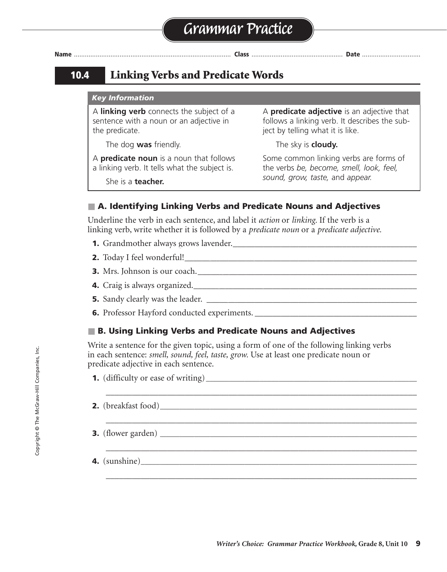# **10.4 Linking Verbs and Predicate Words**

#### *Key Information*

A **linking verb** connects the subject of a sentence with a noun or an adjective in the predicate.

The dog **was** friendly.

A **predicate adjective** is an adjective that follows a linking verb. It describes the subject by telling what it is like.

The sky is **cloudy.**

A **predicate noun** is a noun that follows a linking verb. It tells what the subject is.

Some common linking verbs are forms of the verbs *be, become, smell, look, feel, sound, grow, taste,* and *appear.*

### ■ **A. Identifying Linking Verbs and Predicate Nouns and Adjectives**

Underline the verb in each sentence, and label it *action* or *linking.* If the verb is a linking verb, write whether it is followed by a *predicate noun* or a *predicate adjective.*

- **1.** Grandmother always grows lavender.\_\_\_\_\_\_\_\_\_\_\_\_\_\_\_\_\_\_\_\_\_\_\_\_\_\_\_\_\_\_\_\_\_\_\_\_\_\_\_\_\_\_ action
- **2.** Today I feel wonderful!\_\_\_\_\_\_\_\_\_\_\_\_\_\_\_\_\_\_\_\_\_\_\_\_\_\_\_\_\_\_\_\_\_\_\_\_\_\_\_\_\_\_\_\_\_\_\_\_\_\_\_\_\_ linking, predicate adjective
- **3.** Mrs. Johnson is our coach.\_\_\_\_\_\_\_\_\_\_\_\_\_\_\_\_\_\_\_\_\_\_\_\_\_\_\_\_\_\_\_\_\_\_\_\_\_\_\_\_\_\_\_\_\_\_\_\_\_\_ linking, predicate noun
- **4.** Craig is always organized.\_\_\_\_\_\_\_\_\_\_\_\_\_\_\_\_\_\_\_\_\_\_\_\_\_\_\_\_\_\_\_\_\_\_\_\_\_\_\_\_\_\_\_\_\_\_\_\_\_\_\_ linking, predicate adjective
- **5.** Sandy clearly was the leader. \_\_\_\_\_\_\_\_\_\_\_\_\_\_\_\_\_\_\_\_\_\_\_\_\_\_\_\_\_\_\_\_\_\_\_\_\_\_\_\_\_\_\_\_\_\_\_\_ linking, predicate noun
- **6.** Professor Hayford conducted experiments. \_\_\_\_\_\_\_\_\_\_\_\_\_\_\_\_\_\_\_\_\_\_\_\_\_\_\_\_\_\_\_\_\_\_\_\_\_ action

#### ■ B. Using Linking Verbs and Predicate Nouns and Adjectives

Write a sentence for the given topic, using a form of one of the following linking verbs in each sentence: *smell, sound, feel, taste, grow.* Use at least one predicate noun or predicate adjective in each sentence.

\_\_\_\_\_\_\_\_\_\_\_\_\_\_\_\_\_\_\_\_\_\_\_\_\_\_\_\_\_\_\_\_\_\_\_\_\_\_\_\_\_\_\_\_\_\_\_\_\_\_\_\_\_\_\_\_\_\_\_\_\_\_\_\_\_\_\_\_\_\_\_

\_\_\_\_\_\_\_\_\_\_\_\_\_\_\_\_\_\_\_\_\_\_\_\_\_\_\_\_\_\_\_\_\_\_\_\_\_\_\_\_\_\_\_\_\_\_\_\_\_\_\_\_\_\_\_\_\_\_\_\_\_\_\_\_\_\_\_\_\_\_\_

\_\_\_\_\_\_\_\_\_\_\_\_\_\_\_\_\_\_\_\_\_\_\_\_\_\_\_\_\_\_\_\_\_\_\_\_\_\_\_\_\_\_\_\_\_\_\_\_\_\_\_\_\_\_\_\_\_\_\_\_\_\_\_\_\_\_\_\_\_\_\_

\_\_\_\_\_\_\_\_\_\_\_\_\_\_\_\_\_\_\_\_\_\_\_\_\_\_\_\_\_\_\_\_\_\_\_\_\_\_\_\_\_\_\_\_\_\_\_\_\_\_\_\_\_\_\_\_\_\_\_\_\_\_\_\_\_\_\_\_\_\_\_

| <b>1.</b> (difficulty or ease of writing) |  |
|-------------------------------------------|--|
|-------------------------------------------|--|

- **2.** (breakfast food)**\_\_\_\_\_\_\_\_\_\_\_\_\_\_\_\_\_\_\_\_\_\_\_\_\_\_\_\_\_\_\_\_\_\_\_\_\_\_\_\_\_\_\_\_\_\_\_\_\_\_\_\_\_\_\_\_\_\_\_\_\_\_\_\_\_\_\_**
- **3.** (flower garden)
- **4.** (sunshine)**\_\_\_\_\_\_\_\_\_\_\_\_\_\_\_\_\_\_\_\_\_\_\_\_\_\_\_\_\_\_\_\_\_\_\_\_\_\_\_\_\_\_\_\_\_\_\_\_\_\_\_\_\_\_\_\_\_\_\_\_\_\_\_\_\_\_\_\_\_\_\_\_**

She is a **teacher.**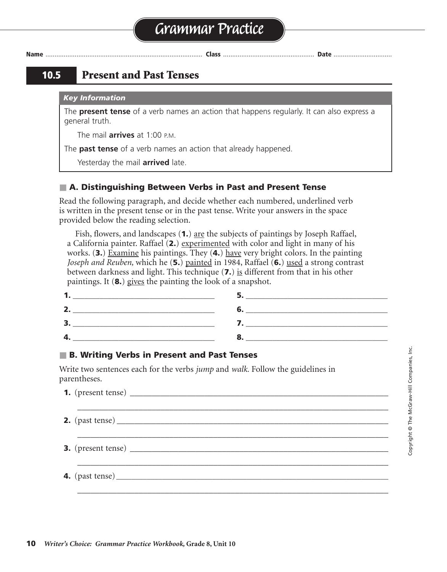# **10.5 Present and Past Tenses**

#### *Key Information*

The **present tense** of a verb names an action that happens regularly. It can also express a general truth.

The mail **arrives** at 1:00 P.M.

The **past tense** of a verb names an action that already happened.

Yesterday the mail **arrived** late.

### ■ **A. Distinguishing Between Verbs in Past and Present Tense**

Read the following paragraph, and decide whether each numbered, underlined verb is written in the present tense or in the past tense. Write your answers in the space provided below the reading selection.

Fish, flowers, and landscapes (**1.**) are the subjects of paintings by Joseph Raffael, a California painter. Raffael (**2.**) experimented with color and light in many of his works. (**3.**) Examine his paintings. They (**4.**) have very bright colors. In the painting *Joseph and Reuben,* which he (**5.**) painted in 1984, Raffael (**6.**) used a strong contrast between darkness and light. This technique (**7.**) is different from that in his other paintings. It (**8.**) gives the painting the look of a snapshot.

| $\sqrt{ }$ |  |
|------------|--|

#### ■ **B. Writing Verbs in Present and Past Tenses**

Write two sentences each for the verbs *jump* and *walk.* Follow the guidelines in parentheses.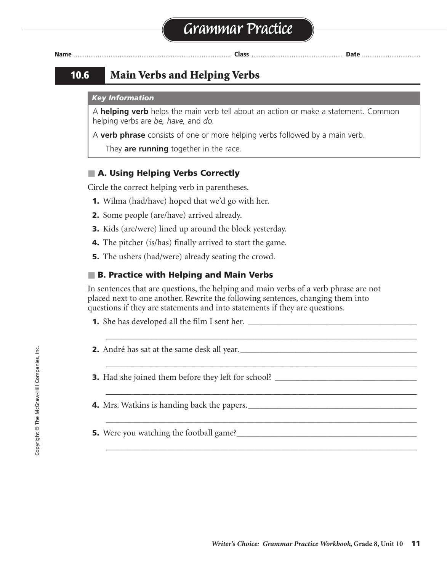# **10.6 Main Verbs and Helping Verbs**

#### *Key Information*

A **helping verb** helps the main verb tell about an action or make a statement. Common helping verbs are *be, have,* and *do.*

A **verb phrase** consists of one or more helping verbs followed by a main verb.

They **are running** together in the race.

### ■ **A. Using Helping Verbs Correctly**

Circle the correct helping verb in parentheses.

- **1.** Wilma (had/have) hoped that we'd go with her.
- **2.** Some people (are/have) arrived already.
- **3.** Kids (are/were) lined up around the block yesterday.
- **4.** The pitcher (is/has) finally arrived to start the game.
- **5.** The ushers (had/were) already seating the crowd.

### ■ **B. Practice with Helping and Main Verbs**

In sentences that are questions, the helping and main verbs of a verb phrase are not placed next to one another. Rewrite the following sentences, changing them into questions if they are statements and into statements if they are questions.

\_\_\_\_\_\_\_\_\_\_\_\_\_\_\_\_\_\_\_\_\_\_\_\_\_\_\_\_\_\_\_\_\_\_\_\_\_\_\_\_\_\_\_\_\_\_\_\_\_\_\_\_\_\_\_\_\_\_\_\_\_\_\_\_\_\_\_\_\_\_\_

\_\_\_\_\_\_\_\_\_\_\_\_\_\_\_\_\_\_\_\_\_\_\_\_\_\_\_\_\_\_\_\_\_\_\_\_\_\_\_\_\_\_\_\_\_\_\_\_\_\_\_\_\_\_\_\_\_\_\_\_\_\_\_\_\_\_\_\_\_\_\_

\_\_\_\_\_\_\_\_\_\_\_\_\_\_\_\_\_\_\_\_\_\_\_\_\_\_\_\_\_\_\_\_\_\_\_\_\_\_\_\_\_\_\_\_\_\_\_\_\_\_\_\_\_\_\_\_\_\_\_\_\_\_\_\_\_\_\_\_\_\_\_

\_\_\_\_\_\_\_\_\_\_\_\_\_\_\_\_\_\_\_\_\_\_\_\_\_\_\_\_\_\_\_\_\_\_\_\_\_\_\_\_\_\_\_\_\_\_\_\_\_\_\_\_\_\_\_\_\_\_\_\_\_\_\_\_\_\_\_\_\_\_\_

\_\_\_\_\_\_\_\_\_\_\_\_\_\_\_\_\_\_\_\_\_\_\_\_\_\_\_\_\_\_\_\_\_\_\_\_\_\_\_\_\_\_\_\_\_\_\_\_\_\_\_\_\_\_\_\_\_\_\_\_\_\_\_\_\_\_\_\_\_\_\_

**1.** She has developed all the film I sent her.

**2.** André has sat at the same desk all year.

- **3.** Had she joined them before they left for school? **\_\_\_\_\_\_\_\_\_\_\_\_\_\_\_\_\_\_\_\_\_\_\_\_\_\_\_\_\_\_\_\_\_\_\_\_\_**
- **4.** Mrs. Watkins is handing back the papers.
- **5.** Were you watching the football game?**\_\_\_\_\_\_\_\_\_\_\_\_\_\_\_\_\_\_\_\_\_\_\_\_\_\_\_\_\_\_\_\_\_\_\_\_\_\_\_\_\_\_\_\_\_\_\_**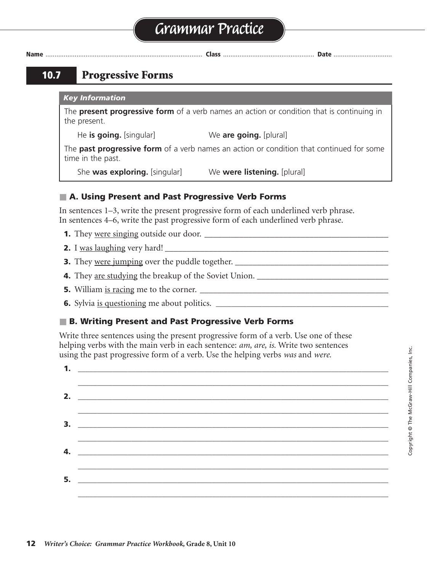# **Grammar Practice**

**Name** ...................................................................................... **Class** .................................................. **Date** ................................

# **10.7 Progressive Forms**

#### *Key Information*

The **present progressive form** of a verb names an action or condition that is continuing in the present.

He **is going.** [singular] We **are going.** [plural]

The **past progressive form** of a verb names an action or condition that continued for some time in the past.

She **was exploring.** [singular] We **were listening.** [plural]

# ■ **A. Using Present and Past Progressive Verb Forms**

In sentences 1–3, write the present progressive form of each underlined verb phrase. In sentences 4–6, write the past progressive form of each underlined verb phrase.

- **1.** They were singing outside our door. \_\_\_\_\_\_\_\_\_\_\_\_\_\_\_\_\_\_\_\_\_\_\_\_\_\_\_\_\_\_\_\_\_\_\_\_\_\_\_\_\_\_ are singing
- **2.** I was laughing very hard! \_\_\_\_\_\_\_\_\_\_\_\_\_\_\_\_\_\_\_\_\_\_\_\_\_\_\_\_\_\_\_\_\_\_\_\_\_\_\_\_\_\_\_\_\_\_\_\_\_\_\_ am laughing
- **3.** They were jumping over the puddle together. \_\_\_\_\_\_\_\_\_\_\_\_\_\_\_\_\_\_\_\_\_\_\_\_\_\_\_\_\_\_\_\_\_\_\_ are jumping
- **4.** They are studying the breakup of the Soviet Union. \_\_\_\_\_\_\_\_\_\_\_\_\_\_\_\_\_\_\_\_\_\_\_\_\_\_\_\_\_\_ were studying
- **5.** William is racing me to the corner. \_\_\_\_\_\_\_\_\_\_\_\_\_\_\_\_\_\_\_\_\_\_\_\_\_\_\_\_\_\_\_\_\_\_\_\_\_\_\_\_\_\_\_ was racing
- **6.** Sylvia is questioning me about politics. **\_\_\_\_\_\_\_\_\_\_\_\_\_\_\_\_\_\_\_\_\_\_\_\_\_\_\_\_\_\_\_\_\_\_\_\_\_\_\_\_\_\_\_\_\_** was questioning

# ■ **B. Writing Present and Past Progressive Verb Forms**

Write three sentences using the present progressive form of a verb. Use one of these helping verbs with the main verb in each sentence: *am, are, is.* Write two sentences using the past progressive form of a verb. Use the helping verbs *was* and *were.*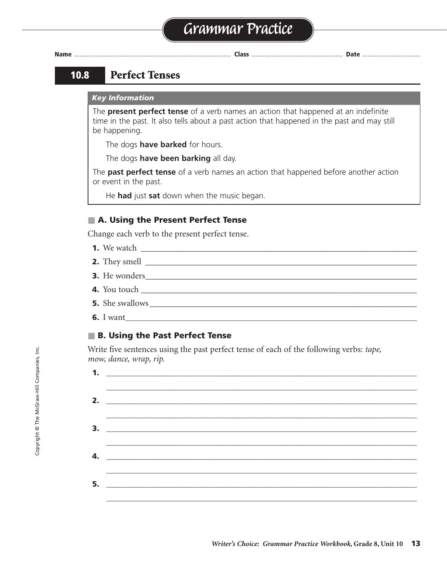# **10.8 Perfect Tenses**

#### *Key Information*

The **present perfect tense** of a verb names an action that happened at an indefinite time in the past. It also tells about a past action that happened in the past and may still be happening.

The dogs **have barked** for hours.

The dogs **have been barking** all day.

The **past perfect tense** of a verb names an action that happened before another action or event in the past.

He **had** just **sat** down when the music began.

# ■ **A. Using the Present Perfect Tense**

Change each verb to the present perfect tense.

- **1.** We watch \_\_\_\_\_\_\_\_\_\_\_\_\_\_\_\_\_\_\_\_\_\_\_\_\_\_\_\_\_\_\_\_\_\_\_\_\_\_\_\_\_\_\_\_\_\_\_\_\_\_\_\_\_\_\_\_\_\_\_\_\_\_\_ have watched
- **2.** They smell \_\_\_\_\_\_\_\_\_\_\_\_\_\_\_\_\_\_\_\_\_\_\_\_\_\_\_\_\_\_\_\_\_\_\_\_\_\_\_\_\_\_\_\_\_\_\_\_\_\_\_\_\_\_\_\_\_\_\_\_\_\_ have smelled
- **3.** He wonders\_\_\_\_\_\_\_\_\_\_\_\_\_\_\_\_\_\_\_\_\_\_\_\_\_\_\_\_\_\_\_\_\_\_\_\_\_\_\_\_\_\_\_\_\_\_\_\_\_\_\_\_\_\_\_\_\_\_\_\_\_\_ has wondered
- **4.** You touch
- **5.** She swallows \_\_\_\_\_\_\_\_\_\_\_\_\_\_\_\_\_\_\_\_\_\_\_\_\_\_\_\_\_\_\_\_\_\_\_\_\_\_\_\_\_\_\_\_\_\_\_\_\_\_\_\_\_\_\_\_\_\_\_\_\_ has swallowed
- **6.** I want**\_\_\_\_\_\_\_\_\_\_\_\_\_\_\_\_\_\_\_\_\_\_\_\_\_\_\_\_\_\_\_\_\_\_\_\_\_\_\_\_\_\_\_\_\_\_\_\_\_\_\_\_\_\_\_\_\_\_\_\_\_\_\_\_\_\_\_\_\_\_\_\_\_\_\_\_** have wanted

### ■ **B. Using the Past Perfect Tense**

Write five sentences using the past perfect tense of each of the following verbs: *tape, mow, dance, wrap, rip.*

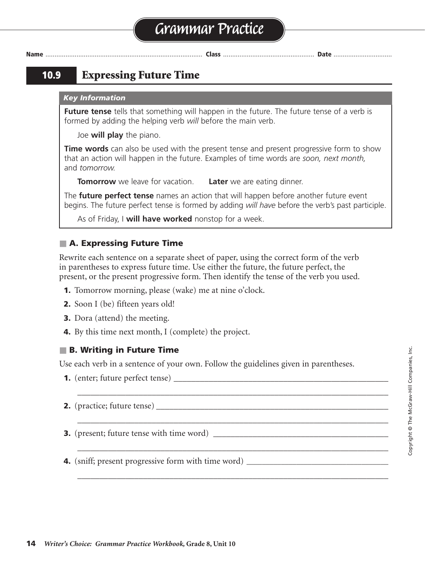# **10.9 Expressing Future Time**

#### *Key Information*

**Future tense** tells that something will happen in the future. The future tense of a verb is formed by adding the helping verb *will* before the main verb.

Joe **will play** the piano.

**Time words** can also be used with the present tense and present progressive form to show that an action will happen in the future. Examples of time words are *soon, next month,* and *tomorrow.*

**Tomorrow** we leave for vacation. **Later** we are eating dinner.

The **future perfect tense** names an action that will happen before another future event begins. The future perfect tense is formed by adding *will have* before the verb's past participle.

As of Friday, I **will have worked** nonstop for a week.

### ■ **A. Expressing Future Time**

Rewrite each sentence on a separate sheet of paper, using the correct form of the verb in parentheses to express future time. Use either the future, the future perfect, the present, or the present progressive form. Then identify the tense of the verb you used.

- **1.** Tomorrow morning, please (wake) me at nine o'clock.
- **2.** Soon I (be) fifteen years old!
- **3.** Dora (attend) the meeting.
- **4.** By this time next month, I (complete) the project.

### ■ **B. Writing in Future Time**

Use each verb in a sentence of your own. Follow the guidelines given in parentheses.

\_\_\_\_\_\_\_\_\_\_\_\_\_\_\_\_\_\_\_\_\_\_\_\_\_\_\_\_\_\_\_\_\_\_\_\_\_\_\_\_\_\_\_\_\_\_\_\_\_\_\_\_\_\_\_\_\_\_\_\_\_\_\_\_\_\_\_\_\_\_\_

\_\_\_\_\_\_\_\_\_\_\_\_\_\_\_\_\_\_\_\_\_\_\_\_\_\_\_\_\_\_\_\_\_\_\_\_\_\_\_\_\_\_\_\_\_\_\_\_\_\_\_\_\_\_\_\_\_\_\_\_\_\_\_\_\_\_\_\_\_\_\_

\_\_\_\_\_\_\_\_\_\_\_\_\_\_\_\_\_\_\_\_\_\_\_\_\_\_\_\_\_\_\_\_\_\_\_\_\_\_\_\_\_\_\_\_\_\_\_\_\_\_\_\_\_\_\_\_\_\_\_\_\_\_\_\_\_\_\_\_\_\_\_

\_\_\_\_\_\_\_\_\_\_\_\_\_\_\_\_\_\_\_\_\_\_\_\_\_\_\_\_\_\_\_\_\_\_\_\_\_\_\_\_\_\_\_\_\_\_\_\_\_\_\_\_\_\_\_\_\_\_\_\_\_\_\_\_\_\_\_\_\_\_\_

- **1.** (enter; future perfect tense) \_\_\_\_\_\_\_\_\_\_\_\_\_\_\_\_\_\_\_\_\_\_\_\_\_\_\_\_\_\_\_\_\_\_\_\_\_\_\_\_\_\_\_\_\_\_\_\_\_ Sentences will vary; verbs are given.
- **2.** (practice; future tense)
- **3.** (present; future tense with time word)
- **4.** (sniff; present progressive form with time word) **\_\_\_\_\_\_\_\_\_\_\_\_\_\_\_\_\_\_\_\_\_\_\_\_\_\_\_\_\_\_\_\_\_\_\_\_\_**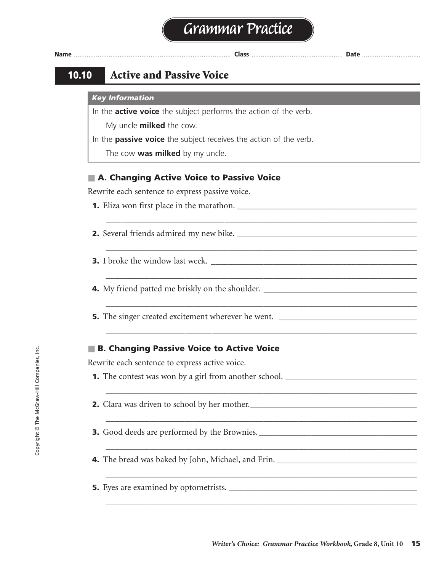\_\_\_\_\_\_\_\_\_\_\_\_\_\_\_\_\_\_\_\_\_\_\_\_\_\_\_\_\_\_\_\_\_\_\_\_\_\_\_\_\_\_\_\_\_\_\_\_\_\_\_\_\_\_\_\_\_\_\_\_\_\_\_\_\_\_\_\_\_\_\_

\_\_\_\_\_\_\_\_\_\_\_\_\_\_\_\_\_\_\_\_\_\_\_\_\_\_\_\_\_\_\_\_\_\_\_\_\_\_\_\_\_\_\_\_\_\_\_\_\_\_\_\_\_\_\_\_\_\_\_\_\_\_\_\_\_\_\_\_\_\_\_

\_\_\_\_\_\_\_\_\_\_\_\_\_\_\_\_\_\_\_\_\_\_\_\_\_\_\_\_\_\_\_\_\_\_\_\_\_\_\_\_\_\_\_\_\_\_\_\_\_\_\_\_\_\_\_\_\_\_\_\_\_\_\_\_\_\_\_\_\_\_\_

\_\_\_\_\_\_\_\_\_\_\_\_\_\_\_\_\_\_\_\_\_\_\_\_\_\_\_\_\_\_\_\_\_\_\_\_\_\_\_\_\_\_\_\_\_\_\_\_\_\_\_\_\_\_\_\_\_\_\_\_\_\_\_\_\_\_\_\_\_\_\_

\_\_\_\_\_\_\_\_\_\_\_\_\_\_\_\_\_\_\_\_\_\_\_\_\_\_\_\_\_\_\_\_\_\_\_\_\_\_\_\_\_\_\_\_\_\_\_\_\_\_\_\_\_\_\_\_\_\_\_\_\_\_\_\_\_\_\_\_\_\_\_

\_\_\_\_\_\_\_\_\_\_\_\_\_\_\_\_\_\_\_\_\_\_\_\_\_\_\_\_\_\_\_\_\_\_\_\_\_\_\_\_\_\_\_\_\_\_\_\_\_\_\_\_\_\_\_\_\_\_\_\_\_\_\_\_\_\_\_\_\_\_\_

\_\_\_\_\_\_\_\_\_\_\_\_\_\_\_\_\_\_\_\_\_\_\_\_\_\_\_\_\_\_\_\_\_\_\_\_\_\_\_\_\_\_\_\_\_\_\_\_\_\_\_\_\_\_\_\_\_\_\_\_\_\_\_\_\_\_\_\_\_\_\_

\_\_\_\_\_\_\_\_\_\_\_\_\_\_\_\_\_\_\_\_\_\_\_\_\_\_\_\_\_\_\_\_\_\_\_\_\_\_\_\_\_\_\_\_\_\_\_\_\_\_\_\_\_\_\_\_\_\_\_\_\_\_\_\_\_\_\_\_\_\_\_

\_\_\_\_\_\_\_\_\_\_\_\_\_\_\_\_\_\_\_\_\_\_\_\_\_\_\_\_\_\_\_\_\_\_\_\_\_\_\_\_\_\_\_\_\_\_\_\_\_\_\_\_\_\_\_\_\_\_\_\_\_\_\_\_\_\_\_\_\_\_\_

\_\_\_\_\_\_\_\_\_\_\_\_\_\_\_\_\_\_\_\_\_\_\_\_\_\_\_\_\_\_\_\_\_\_\_\_\_\_\_\_\_\_\_\_\_\_\_\_\_\_\_\_\_\_\_\_\_\_\_\_\_\_\_\_\_\_\_\_\_\_\_

**Name** ...................................................................................... **Class** .................................................. **Date** ................................

# **10.10 Active and Passive Voice**

#### *Key Information*

In the **active voice** the subject performs the action of the verb.

My uncle **milked** the cow.

- In the **passive voice** the subject receives the action of the verb.
	- The cow **was milked** by my uncle.

### ■ **A. Changing Active Voice to Passive Voice**

Rewrite each sentence to express passive voice.

- **1.** Eliza won first place in the marathon. \_\_\_\_\_\_\_\_\_\_\_\_\_\_\_\_\_\_\_\_\_\_\_\_\_\_\_\_\_\_\_\_\_\_\_\_\_\_\_\_\_
- **2.** Several friends admired my new bike. \_\_\_\_\_\_\_\_\_\_\_\_\_\_\_\_\_\_\_\_\_\_\_\_\_\_\_\_\_\_\_\_\_\_\_\_\_\_\_\_\_
- **3.** I broke the window last week.
- **4.** My friend patted me briskly on the shoulder. \_\_\_\_\_\_\_\_\_\_\_\_\_\_\_\_\_\_\_\_\_\_\_\_\_\_\_\_\_\_\_
- **5.** The singer created excitement wherever he went. **\_\_\_\_\_\_\_\_\_\_\_\_\_\_\_\_\_\_\_\_\_\_\_\_\_\_\_\_\_\_\_\_\_\_\_\_**

#### ■ **B. Changing Passive Voice to Active Voice**

Rewrite each sentence to express active voice.

- **1.** The contest was won by a girl from another school. \_\_\_\_\_\_\_\_\_\_\_\_\_\_\_\_\_\_\_\_\_\_\_\_\_\_\_\_\_\_\_
- **2.** Clara was driven to school by her mother.
- **3.** Good deeds are performed by the Brownies.
- **4.** The bread was baked by John, Michael, and Erin. \_\_\_\_\_\_\_\_\_\_\_\_\_\_\_\_\_\_\_\_\_\_\_\_\_\_\_\_\_\_\_\_\_\_
- **5.** Eyes are examined by optometrists. **\_\_\_\_\_\_\_\_\_\_\_\_\_\_\_\_\_\_\_\_\_\_\_\_\_\_\_\_\_\_\_\_\_\_\_\_\_\_\_\_\_\_\_\_\_\_\_\_\_**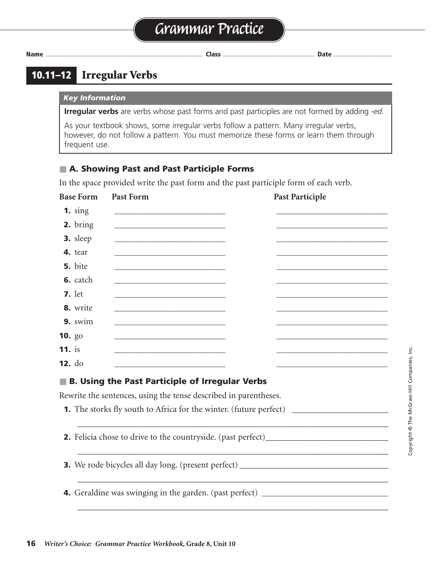# **Grammar Practice**

**Name** ...................................................................................... **Class** .................................................. **Date** ................................

# **10.11–12 Irregular Verbs**

#### *Key Information*

**Irregular verbs** are verbs whose past forms and past participles are not formed by adding *-ed.*

As your textbook shows, some irregular verbs follow a pattern. Many irregular verbs, however, do not follow a pattern. You must memorize these forms or learn them through frequent use.

# ■ **A. Showing Past and Past Participle Forms**

In the space provided write the past form and the past participle form of each verb.

| <b>Base Form</b>   | <b>Past Form</b>                                                                                                     | <b>Past Participle</b>                                                                                                |
|--------------------|----------------------------------------------------------------------------------------------------------------------|-----------------------------------------------------------------------------------------------------------------------|
| $1.$ sing          |                                                                                                                      |                                                                                                                       |
| 2. bring           |                                                                                                                      |                                                                                                                       |
| 3. sleep           |                                                                                                                      |                                                                                                                       |
| 4. tear            | <u> 1989 - Johann Barbara, martin amerikan basar dan berasal dalam basa dalam basar dalam basar dalam basar dala</u> |                                                                                                                       |
| 5. bite            | <u> 1980 - Johann Barbara, martxa alemaniar amerikan basar da a</u>                                                  |                                                                                                                       |
| 6. catch           |                                                                                                                      |                                                                                                                       |
| <b>7.</b> let      |                                                                                                                      |                                                                                                                       |
| 8. write           |                                                                                                                      |                                                                                                                       |
| 9. swim            |                                                                                                                      |                                                                                                                       |
| <b>10.</b> $g_0$   |                                                                                                                      | <u> 1980 - Johann Barbara, martin amerikan basar dan berasal dalam basar dalam basar dalam basar dalam basar dala</u> |
| $11.$ is           |                                                                                                                      |                                                                                                                       |
| 12. d <sub>o</sub> |                                                                                                                      |                                                                                                                       |
|                    | <b>B. Using the Past Participle of Irregular Verbs</b>                                                               |                                                                                                                       |
|                    | Rewrite the sentences, using the tense described in parentheses.                                                     |                                                                                                                       |
|                    |                                                                                                                      |                                                                                                                       |
|                    |                                                                                                                      |                                                                                                                       |
|                    |                                                                                                                      | 2. Felicia chose to drive to the countryside. (past perfect)_____________________                                     |
|                    |                                                                                                                      |                                                                                                                       |
|                    |                                                                                                                      | 3. We rode bicycles all day long. (present perfect)_____________________________                                      |
|                    |                                                                                                                      |                                                                                                                       |
|                    |                                                                                                                      | 4. Geraldine was swinging in the garden. (past perfect) ________________________                                      |
|                    |                                                                                                                      |                                                                                                                       |
|                    |                                                                                                                      |                                                                                                                       |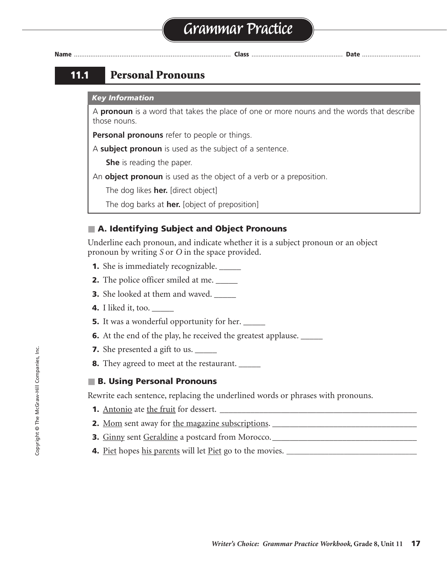

# **11.1 Personal Pronouns**

#### *Key Information*

A **pronoun** is a word that takes the place of one or more nouns and the words that describe those nouns.

**Personal pronouns** refer to people or things.

A **subject pronoun** is used as the subject of a sentence.

**She** is reading the paper.

An **object pronoun** is used as the object of a verb or a preposition.

The dog likes **her.** [direct object]

The dog barks at **her.** [object of preposition]

# ■ **A. Identifying Subject and Object Pronouns**

Underline each pronoun, and indicate whether it is a subject pronoun or an object pronoun by writing *S* or *O* in the space provided.

- **1.** She is immediately recognizable. \_\_\_\_\_
- **2.** The police officer smiled at me. \_\_\_\_\_
- **3.** She looked at them and waved.
- **4.** I liked it, too. \_\_\_\_\_
- **5.** It was a wonderful opportunity for her. \_\_\_\_\_\_
- **6.** At the end of the play, he received the greatest applause. \_\_\_\_\_\_
- **7.** She presented a gift to us.
- **8.** They agreed to meet at the restaurant.

### ■ **B. Using Personal Pronouns**

Rewrite each sentence, replacing the underlined words or phrases with pronouns.

- **1.** Antonio ate the fruit for dessert. \_\_\_\_\_\_\_\_\_\_\_\_\_\_\_\_\_\_\_\_\_\_\_\_\_\_\_\_\_\_\_\_\_\_\_\_\_\_\_\_\_\_\_\_\_ He ate it for dessert.
- **2.** Mom sent away for the magazine subscriptions.
- **3.** Ginny sent Geraldine a postcard from Morocco.\_\_\_\_\_\_\_\_\_\_\_\_\_\_\_\_\_\_\_\_\_\_\_\_\_\_\_\_\_\_\_\_\_ She sent her a postcard from Morocco.
- **4.** Piet hopes his parents will let Piet go to the movies. **\_\_\_\_\_\_\_\_\_\_\_\_\_\_\_\_\_\_\_\_\_\_\_\_\_\_\_\_\_\_\_\_\_\_** He hopes they will let him go to the movies.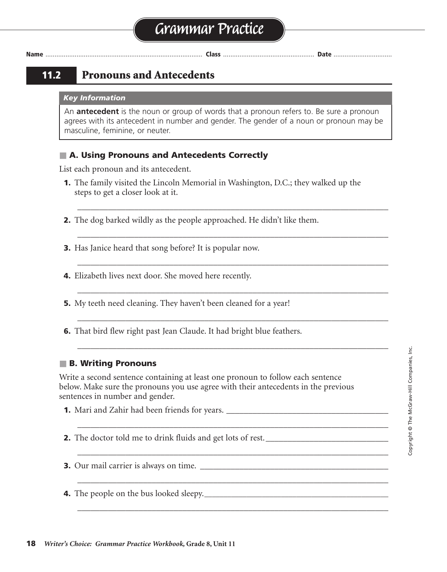# **11.2 Pronouns and Antecedents**

#### *Key Information*

An **antecedent** is the noun or group of words that a pronoun refers to. Be sure a pronoun agrees with its antecedent in number and gender. The gender of a noun or pronoun may be masculine, feminine, or neuter.

### ■ **A. Using Pronouns and Antecedents Correctly**

List each pronoun and its antecedent.

**1.** The family visited the Lincoln Memorial in Washington, D.C.; they walked up the steps to get a closer look at it.

\_\_\_\_\_\_\_\_\_\_\_\_\_\_\_\_\_\_\_\_\_\_\_\_\_\_\_\_\_\_\_\_\_\_\_\_\_\_\_\_\_\_\_\_\_\_\_\_\_\_\_\_\_\_\_\_\_\_\_\_\_\_\_\_\_\_\_\_\_\_\_

\_\_\_\_\_\_\_\_\_\_\_\_\_\_\_\_\_\_\_\_\_\_\_\_\_\_\_\_\_\_\_\_\_\_\_\_\_\_\_\_\_\_\_\_\_\_\_\_\_\_\_\_\_\_\_\_\_\_\_\_\_\_\_\_\_\_\_\_\_\_\_

\_\_\_\_\_\_\_\_\_\_\_\_\_\_\_\_\_\_\_\_\_\_\_\_\_\_\_\_\_\_\_\_\_\_\_\_\_\_\_\_\_\_\_\_\_\_\_\_\_\_\_\_\_\_\_\_\_\_\_\_\_\_\_\_\_\_\_\_\_\_\_

\_\_\_\_\_\_\_\_\_\_\_\_\_\_\_\_\_\_\_\_\_\_\_\_\_\_\_\_\_\_\_\_\_\_\_\_\_\_\_\_\_\_\_\_\_\_\_\_\_\_\_\_\_\_\_\_\_\_\_\_\_\_\_\_\_\_\_\_\_\_\_

\_\_\_\_\_\_\_\_\_\_\_\_\_\_\_\_\_\_\_\_\_\_\_\_\_\_\_\_\_\_\_\_\_\_\_\_\_\_\_\_\_\_\_\_\_\_\_\_\_\_\_\_\_\_\_\_\_\_\_\_\_\_\_\_\_\_\_\_\_\_\_

\_\_\_\_\_\_\_\_\_\_\_\_\_\_\_\_\_\_\_\_\_\_\_\_\_\_\_\_\_\_\_\_\_\_\_\_\_\_\_\_\_\_\_\_\_\_\_\_\_\_\_\_\_\_\_\_\_\_\_\_\_\_\_\_\_\_\_\_\_\_\_

\_\_\_\_\_\_\_\_\_\_\_\_\_\_\_\_\_\_\_\_\_\_\_\_\_\_\_\_\_\_\_\_\_\_\_\_\_\_\_\_\_\_\_\_\_\_\_\_\_\_\_\_\_\_\_\_\_\_\_\_\_\_\_\_\_\_\_\_\_\_\_

\_\_\_\_\_\_\_\_\_\_\_\_\_\_\_\_\_\_\_\_\_\_\_\_\_\_\_\_\_\_\_\_\_\_\_\_\_\_\_\_\_\_\_\_\_\_\_\_\_\_\_\_\_\_\_\_\_\_\_\_\_\_\_\_\_\_\_\_\_\_\_

\_\_\_\_\_\_\_\_\_\_\_\_\_\_\_\_\_\_\_\_\_\_\_\_\_\_\_\_\_\_\_\_\_\_\_\_\_\_\_\_\_\_\_\_\_\_\_\_\_\_\_\_\_\_\_\_\_\_\_\_\_\_\_\_\_\_\_\_\_\_\_

\_\_\_\_\_\_\_\_\_\_\_\_\_\_\_\_\_\_\_\_\_\_\_\_\_\_\_\_\_\_\_\_\_\_\_\_\_\_\_\_\_\_\_\_\_\_\_\_\_\_\_\_\_\_\_\_\_\_\_\_\_\_\_\_\_\_\_\_\_\_\_

**2.** The dog barked wildly as the people approached. He didn't like them.

**3.** Has Janice heard that song before? It is popular now.

- **4.** Elizabeth lives next door. She moved here recently.
- **5.** My teeth need cleaning. They haven't been cleaned for a year!
- **6.** That bird flew right past Jean Claude. It had bright blue feathers.

### ■ **B. Writing Pronouns**

Write a second sentence containing at least one pronoun to follow each sentence below. Make sure the pronouns you use agree with their antecedents in the previous sentences in number and gender.

- **1.** Mari and Zahir had been friends for years. \_\_\_\_\_\_\_\_\_\_\_\_\_\_\_\_\_\_\_\_\_\_\_\_\_\_\_\_\_\_\_\_\_\_\_\_\_
- **2.** The doctor told me to drink fluids and get lots of rest.
- **3.** Our mail carrier is always on time.
- **4.** The people on the bus looked sleepy.**\_\_\_\_\_\_\_\_\_\_\_\_\_\_\_\_\_\_\_\_\_\_\_\_\_\_\_\_\_\_\_\_\_\_\_\_\_\_\_\_\_\_\_\_\_\_\_\_**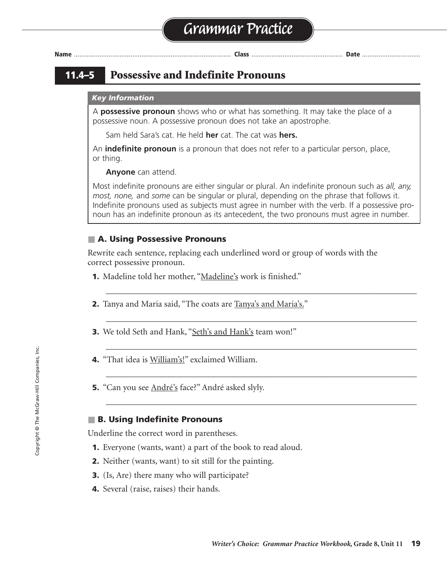# **11.4–5 Possessive and Indefinite Pronouns**

#### *Key Information*

A **possessive pronoun** shows who or what has something. It may take the place of a possessive noun. A possessive pronoun does not take an apostrophe.

Sam held Sara's cat. He held **her** cat. The cat was **hers.**

An **indefinite pronoun** is a pronoun that does not refer to a particular person, place, or thing.

**Anyone** can attend.

Most indefinite pronouns are either singular or plural. An indefinite pronoun such as *all, any, most, none,* and *some* can be singular or plural, depending on the phrase that follows it. Indefinite pronouns used as subjects must agree in number with the verb. If a possessive pronoun has an indefinite pronoun as its antecedent, the two pronouns must agree in number.

\_\_\_\_\_\_\_\_\_\_\_\_\_\_\_\_\_\_\_\_\_\_\_\_\_\_\_\_\_\_\_\_\_\_\_\_\_\_\_\_\_\_\_\_\_\_\_\_\_\_\_\_\_\_\_\_\_\_\_\_\_\_\_\_\_\_\_\_\_\_\_

\_\_\_\_\_\_\_\_\_\_\_\_\_\_\_\_\_\_\_\_\_\_\_\_\_\_\_\_\_\_\_\_\_\_\_\_\_\_\_\_\_\_\_\_\_\_\_\_\_\_\_\_\_\_\_\_\_\_\_\_\_\_\_\_\_\_\_\_\_\_\_

\_\_\_\_\_\_\_\_\_\_\_\_\_\_\_\_\_\_\_\_\_\_\_\_\_\_\_\_\_\_\_\_\_\_\_\_\_\_\_\_\_\_\_\_\_\_\_\_\_\_\_\_\_\_\_\_\_\_\_\_\_\_\_\_\_\_\_\_\_\_\_

\_\_\_\_\_\_\_\_\_\_\_\_\_\_\_\_\_\_\_\_\_\_\_\_\_\_\_\_\_\_\_\_\_\_\_\_\_\_\_\_\_\_\_\_\_\_\_\_\_\_\_\_\_\_\_\_\_\_\_\_\_\_\_\_\_\_\_\_\_\_\_

\_\_\_\_\_\_\_\_\_\_\_\_\_\_\_\_\_\_\_\_\_\_\_\_\_\_\_\_\_\_\_\_\_\_\_\_\_\_\_\_\_\_\_\_\_\_\_\_\_\_\_\_\_\_\_\_\_\_\_\_\_\_\_\_\_\_\_\_\_\_\_

### ■ A. Using Possessive Pronouns

Rewrite each sentence, replacing each underlined word or group of words with the correct possessive pronoun.

- **1.** Madeline told her mother, "Madeline's work is finished."
- **2.** Tanya and Maria said, "The coats are Tanya's and Maria's."
- **3.** We told Seth and Hank, "Seth's and Hank's team won!"
- **4.** "That idea is William's!" exclaimed William.
- **5.** "Can you see André's face?" André asked slyly.

#### ■ **B. Using Indefinite Pronouns**

Underline the correct word in parentheses.

- **1.** Everyone (wants, want) a part of the book to read aloud.
- **2.** Neither (wants, want) to sit still for the painting.
- **3.** (Is, Are) there many who will participate?
- **4.** Several (raise, raises) their hands.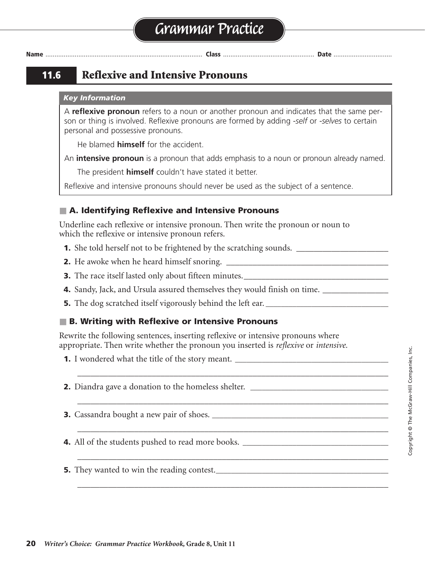**11.6 Reflexive and Intensive Pronouns**

#### *Key Information*

A **reflexive pronoun** refers to a noun or another pronoun and indicates that the same person or thing is involved. Reflexive pronouns are formed by adding *-self* or *-selves* to certain personal and possessive pronouns.

He blamed **himself** for the accident.

An **intensive pronoun** is a pronoun that adds emphasis to a noun or pronoun already named.

The president **himself** couldn't have stated it better.

Reflexive and intensive pronouns should never be used as the subject of a sentence.

# ■ **A. Identifying Reflexive and Intensive Pronouns**

Underline each reflexive or intensive pronoun. Then write the pronoun or noun to which the reflexive or intensive pronoun refers.

**1.** She told herself not to be frightened by the scratching sounds. \_\_\_\_\_\_\_\_\_\_\_\_\_\_\_\_\_\_

**2.** He awoke when he heard himself snoring. \_\_\_\_\_\_\_\_\_\_\_\_\_\_\_\_\_\_\_\_\_\_\_\_\_\_\_\_\_\_\_\_\_\_\_\_\_ He

**3.** The race itself lasted only about fifteen minutes.\_\_\_\_\_\_\_\_\_\_\_\_\_\_\_\_\_\_\_\_\_\_\_\_\_\_\_\_\_\_\_\_\_ race

**4.** Sandy, Jack, and Ursula assured themselves they would finish on time. \_\_\_\_\_\_\_\_\_\_\_\_\_\_\_\_

**5.** The dog scratched itself vigorously behind the left ear. **\_\_\_\_\_\_\_\_\_\_\_\_\_\_\_\_\_\_\_\_\_\_\_\_\_\_\_\_\_\_\_\_** dog

# ■ **B. Writing with Reflexive or Intensive Pronouns**

Rewrite the following sentences, inserting reflexive or intensive pronouns where appropriate. Then write whether the pronoun you inserted is *reflexive* or *intensive.*

\_\_\_\_\_\_\_\_\_\_\_\_\_\_\_\_\_\_\_\_\_\_\_\_\_\_\_\_\_\_\_\_\_\_\_\_\_\_\_\_\_\_\_\_\_\_\_\_\_\_\_\_\_\_\_\_\_\_\_\_\_\_\_\_\_\_\_\_\_\_\_

\_\_\_\_\_\_\_\_\_\_\_\_\_\_\_\_\_\_\_\_\_\_\_\_\_\_\_\_\_\_\_\_\_\_\_\_\_\_\_\_\_\_\_\_\_\_\_\_\_\_\_\_\_\_\_\_\_\_\_\_\_\_\_\_\_\_\_\_\_\_\_

\_\_\_\_\_\_\_\_\_\_\_\_\_\_\_\_\_\_\_\_\_\_\_\_\_\_\_\_\_\_\_\_\_\_\_\_\_\_\_\_\_\_\_\_\_\_\_\_\_\_\_\_\_\_\_\_\_\_\_\_\_\_\_\_\_\_\_\_\_\_\_

\_\_\_\_\_\_\_\_\_\_\_\_\_\_\_\_\_\_\_\_\_\_\_\_\_\_\_\_\_\_\_\_\_\_\_\_\_\_\_\_\_\_\_\_\_\_\_\_\_\_\_\_\_\_\_\_\_\_\_\_\_\_\_\_\_\_\_\_\_\_\_

\_\_\_\_\_\_\_\_\_\_\_\_\_\_\_\_\_\_\_\_\_\_\_\_\_\_\_\_\_\_\_\_\_\_\_\_\_\_\_\_\_\_\_\_\_\_\_\_\_\_\_\_\_\_\_\_\_\_\_\_\_\_\_\_\_\_\_\_\_\_\_

**1.** I wondered what the title of the story meant. **\_\_\_\_\_\_\_\_\_\_\_\_\_\_\_\_\_\_\_\_\_\_\_\_\_\_\_\_\_\_\_\_\_\_\_\_\_\_\_\_**

**2.** Diandra gave a donation to the homeless shelter.

**3.** Cassandra bought a new pair of shoes. *\_\_\_\_\_\_\_\_\_\_\_\_\_\_\_\_\_\_\_\_\_\_\_\_\_\_\_\_\_\_\_\_\_\_\_* 

**4.** All of the students pushed to read more books.

**5.** They wanted to win the reading contest.**\_\_\_\_\_\_\_\_\_\_\_\_\_\_\_\_\_\_\_\_\_\_\_\_\_\_\_\_\_\_\_\_\_\_\_\_\_\_\_\_\_\_\_\_\_**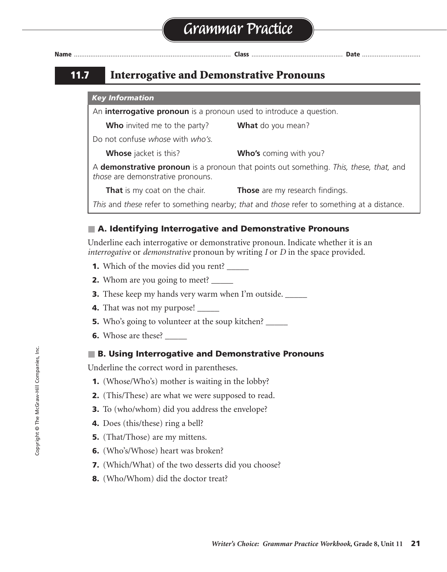| <b>Name</b> |  |
|-------------|--|
|             |  |

# **11.7 Interrogative and Demonstrative Pronouns**

#### *Key Information*

An **interrogative pronoun** is a pronoun used to introduce a question.

**Who** invited me to the party? **What** do you mean?

Do not confuse *whose* with *who's.*

**Whose** jacket is this? **Who's** coming with you?

A **demonstrative pronoun** is a pronoun that points out something. *This, these, that,* and *those* are demonstrative pronouns.

**That** is my coat on the chair. **Those** are my research findings.

*This* and *these* refer to something nearby; *that* and *those* refer to something at a distance.

# ■ **A. Identifying Interrogative and Demonstrative Pronouns**

Underline each interrogative or demonstrative pronoun. Indicate whether it is an *interrogative* or *demonstrative* pronoun by writing *I* or *D* in the space provided.

- **1.** Which of the movies did you rent? \_\_\_\_\_
- **2.** Whom are you going to meet? \_\_\_\_\_
- **3.** These keep my hands very warm when I'm outside. \_\_\_\_\_\_
- **4.** That was not my purpose!
- **5.** Who's going to volunteer at the soup kitchen? \_\_\_\_\_
- **6.** Whose are these? \_\_\_\_\_\_

### ■ **B. Using Interrogative and Demonstrative Pronouns**

Underline the correct word in parentheses.

- **1.** (Whose/Who's) mother is waiting in the lobby?
- **2.** (This/These) are what we were supposed to read.
- **3.** To (who/whom) did you address the envelope?
- **4.** Does (this/these) ring a bell?
- **5.** (That/Those) are my mittens.
- **6.** (Who's/Whose) heart was broken?
- **7.** (Which/What) of the two desserts did you choose?
- **8.** (Who/Whom) did the doctor treat?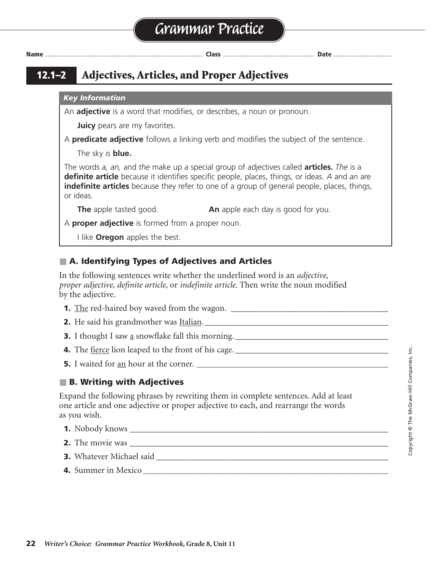# **Grammar Practice**

**Name** ...................................................................................... **Class** .................................................. **Date** ................................

# **12.1–2 Adjectives, Articles, and Proper Adjectives**

#### *Key Information*

An **adjective** is a word that modifies, or describes, a noun or pronoun.

**Juicy** pears are my favorites.

A **predicate adjective** follows a linking verb and modifies the subject of the sentence.

The sky is **blue.**

The words *a, an,* and *the* make up a special group of adjectives called **articles.** *The* is a **definite article** because it identifies specific people, places, things, or ideas. *A* and *an* are **indefinite articles** because they refer to one of a group of general people, places, things, or ideas.

**The** apple tasted good. **An** apple each day is good for you.

A **proper adjective** is formed from a proper noun.

I like **Oregon** apples the best.

# ■ **A. Identifying Types of Adjectives and Articles**

In the following sentences write whether the underlined word is an *adjective, proper adjective, definite article,* or *indefinite article.* Then write the noun modified by the adjective.

- **1.** The red-haired boy waved from the wagon. \_\_\_\_\_\_\_\_\_\_\_\_\_\_\_\_\_\_\_\_\_\_\_\_\_\_\_\_\_\_\_\_\_\_\_\_ definite article, red-haired boy
- **2.** He said his grandmother was Italian.\_\_\_\_\_\_\_\_\_\_\_\_\_\_\_\_\_\_\_\_\_\_\_\_\_\_\_\_\_\_\_\_\_\_\_\_\_\_\_\_\_\_ proper adjective, grandmother
- **3.** I thought I saw a snowflake fall this morning.\_\_\_\_\_\_\_\_\_\_\_\_\_\_\_\_\_\_\_\_\_\_\_\_\_\_\_\_\_\_\_\_\_\_\_ indefinite article, snowflake
- **4.** The fierce lion leaped to the front of his cage. \_\_\_\_\_\_\_\_\_\_\_\_\_\_\_\_\_\_\_\_\_\_\_\_\_\_\_\_\_\_\_\_\_\_\_ adjective, lion
- **5.** I waited for an hour at the corner. **\_\_\_\_\_\_\_\_\_\_\_\_\_\_\_\_\_\_\_\_\_\_\_\_\_\_\_\_\_\_\_\_\_\_\_\_\_\_\_\_\_\_\_\_\_\_\_\_\_\_** indefinite article, hour

# ■ **B. Writing with Adjectives**

Expand the following phrases by rewriting them in complete sentences. Add at least one article and one adjective or proper adjective to each, and rearrange the words as you wish.

- **1.** Nobody knows \_\_\_\_\_\_\_\_\_\_\_\_\_\_\_\_\_\_\_\_\_\_\_\_\_\_\_\_\_\_\_\_\_\_\_\_\_\_\_\_\_\_\_\_\_\_\_\_\_\_\_\_\_\_\_\_\_\_\_
- **2.** The movie was
- **3.** Whatever Michael said
- **4.** Summer in Mexico **\_\_\_\_\_\_\_\_\_\_\_\_\_\_\_\_\_\_\_\_\_\_\_\_\_\_\_\_\_\_\_\_\_\_\_\_\_\_\_\_\_\_\_\_\_\_\_\_\_\_\_\_\_\_\_\_\_\_\_\_\_\_\_\_**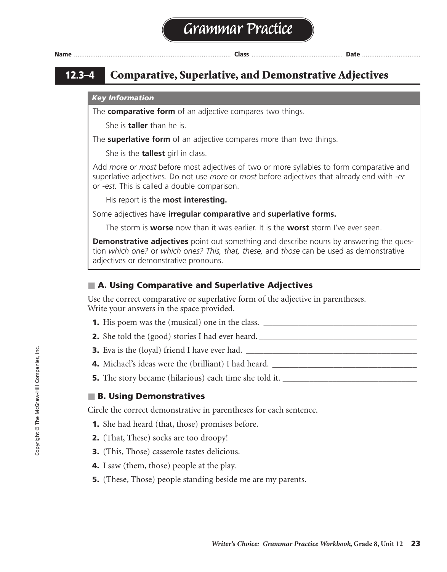| Nam<br>I |  |  |  | ۰ |
|----------|--|--|--|---|
|----------|--|--|--|---|

**Name** ...................................................................................... **Class** .................................................. **Date** ................................

# **12.3–4 Comparative, Superlative, and Demonstrative Adjectives**

#### *Key Information*

The **comparative form** of an adjective compares two things.

She is **taller** than he is.

The **superlative form** of an adjective compares more than two things.

She is the **tallest** girl in class.

Add *more* or *most* before most adjectives of two or more syllables to form comparative and superlative adjectives. Do not use *more* or *most* before adjectives that already end with *-er*  or *-est.* This is called a double comparison.

His report is the **most interesting.**

Some adjectives have **irregular comparative** and **superlative forms.**

The storm is **worse** now than it was earlier. It is the **worst** storm I've ever seen.

**Demonstrative adjectives** point out something and describe nouns by answering the question *which one?* or *which ones? This, that, these,* and *those* can be used as demonstrative adjectives or demonstrative pronouns.

# ■ A. Using Comparative and Superlative Adjectives

Use the correct comparative or superlative form of the adjective in parentheses. Write your answers in the space provided.

- **1.** His poem was the (musical) one in the class.
- **2.** She told the (good) stories I had ever heard. \_\_\_\_\_\_\_\_\_\_\_\_\_\_\_\_\_\_\_\_\_\_\_\_\_\_\_\_\_\_\_\_\_\_\_\_ best
- **3.** Eva is the (loyal) friend I have ever had. \_\_\_\_\_\_\_\_\_\_\_\_\_\_\_\_\_\_\_\_\_\_\_\_\_\_\_\_\_\_\_\_\_\_\_\_\_\_\_ most loyal
- **4.** Michael's ideas were the (brilliant) I had heard. \_\_\_\_\_\_\_\_\_\_\_\_\_\_\_\_\_\_\_\_\_\_\_\_\_\_\_\_\_\_\_\_\_ most brilliant
- **5.** The story became (hilarious) each time she told it. **\_\_\_\_\_\_\_\_\_\_\_\_\_\_\_\_\_\_\_\_\_\_\_\_\_\_\_\_\_\_\_\_\_\_\_** more hilarious

# ■ **B. Using Demonstratives**

Circle the correct demonstrative in parentheses for each sentence.

- **1.** She had heard (that, those) promises before.
- **2.** (That, These) socks are too droopy!
- **3.** (This, Those) casserole tastes delicious.
- **4.** I saw (them, those) people at the play.
- **5.** (These, Those) people standing beside me are my parents.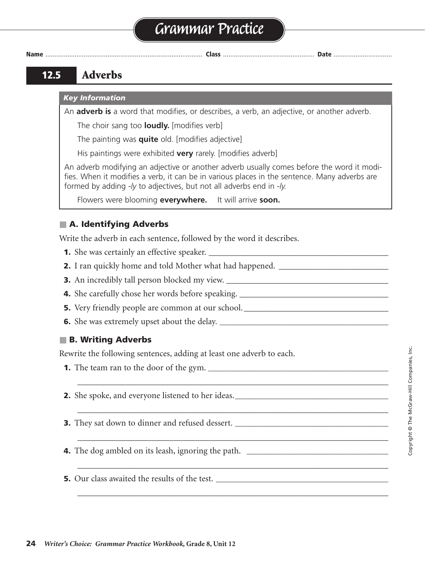# **Grammar Practice**

**Name** ...................................................................................... **Class** .................................................. **Date** ................................

# **12.5 Adverbs**

#### *Key Information*

An **adverb is** a word that modifies, or describes, a verb, an adjective, or another adverb.

The choir sang too **loudly.** [modifies verb]

The painting was **quite** old. [modifies adjective]

His paintings were exhibited **very** rarely. [modifies adverb]

An adverb modifying an adjective or another adverb usually comes before the word it modifies. When it modifies a verb, it can be in various places in the sentence. Many adverbs are formed by adding *-ly* to adjectives, but not all adverbs end in *-ly.*

\_\_\_\_\_\_\_\_\_\_\_\_\_\_\_\_\_\_\_\_\_\_\_\_\_\_\_\_\_\_\_\_\_\_\_\_\_\_\_\_\_\_\_\_\_\_\_\_\_\_\_\_\_\_\_\_\_\_\_\_\_\_\_\_\_\_\_\_\_\_\_

\_\_\_\_\_\_\_\_\_\_\_\_\_\_\_\_\_\_\_\_\_\_\_\_\_\_\_\_\_\_\_\_\_\_\_\_\_\_\_\_\_\_\_\_\_\_\_\_\_\_\_\_\_\_\_\_\_\_\_\_\_\_\_\_\_\_\_\_\_\_\_

\_\_\_\_\_\_\_\_\_\_\_\_\_\_\_\_\_\_\_\_\_\_\_\_\_\_\_\_\_\_\_\_\_\_\_\_\_\_\_\_\_\_\_\_\_\_\_\_\_\_\_\_\_\_\_\_\_\_\_\_\_\_\_\_\_\_\_\_\_\_\_

\_\_\_\_\_\_\_\_\_\_\_\_\_\_\_\_\_\_\_\_\_\_\_\_\_\_\_\_\_\_\_\_\_\_\_\_\_\_\_\_\_\_\_\_\_\_\_\_\_\_\_\_\_\_\_\_\_\_\_\_\_\_\_\_\_\_\_\_\_\_\_

\_\_\_\_\_\_\_\_\_\_\_\_\_\_\_\_\_\_\_\_\_\_\_\_\_\_\_\_\_\_\_\_\_\_\_\_\_\_\_\_\_\_\_\_\_\_\_\_\_\_\_\_\_\_\_\_\_\_\_\_\_\_\_\_\_\_\_\_\_\_\_

Flowers were blooming **everywhere.** It will arrive **soon.**

# ■ **A. Identifying Adverbs**

Write the adverb in each sentence, followed by the word it describes.

- **1.** She was certainly an effective speaker. \_\_\_\_\_\_\_\_\_\_\_\_\_\_\_\_\_\_\_\_\_\_\_\_\_\_\_\_\_\_\_\_\_\_\_\_\_\_\_\_\_ certainly, was
- **2.** I ran quickly home and told Mother what had happened. \_\_\_\_\_\_\_\_\_\_\_\_\_\_\_\_\_\_\_\_\_\_\_\_\_ quickly, ran
- **3.** An incredibly tall person blocked my view. \_\_\_\_\_\_\_\_\_\_\_\_\_\_\_\_\_\_\_\_\_\_\_\_\_\_\_\_\_\_\_\_\_\_\_\_\_ incredibly, tall
- **4.** She carefully chose her words before speaking. \_\_\_\_\_\_\_\_\_\_\_\_\_\_\_\_\_\_\_\_\_\_\_\_\_\_\_\_\_\_\_\_\_\_ carefully, chose
- **5.** Very friendly people are common at our school. \_\_\_\_\_\_\_\_\_\_\_\_\_\_\_\_\_\_\_\_\_\_\_\_\_\_\_\_\_\_\_\_\_ Very, friendly
- **6.** She was extremely upset about the delay. **\_\_\_\_\_\_\_\_\_\_\_\_\_\_\_\_\_\_\_\_\_\_\_\_\_\_\_\_\_\_\_\_\_\_\_\_\_\_\_\_\_\_\_\_** extremely, upset

# ■ **B. Writing Adverbs**

Rewrite the following sentences, adding at least one adverb to each.

- **1.** The team ran to the door of the gym.
- **2.** She spoke, and everyone listened to her ideas. \_\_\_\_\_\_\_\_\_\_\_\_\_\_\_\_\_\_\_\_\_\_\_\_\_\_\_\_\_
- **3.** They sat down to dinner and refused dessert.
- **4.** The dog ambled on its leash, ignoring the path.
- **5.** Our class awaited the results of the test. \_\_\_\_\_\_\_\_\_\_\_\_\_\_\_\_\_\_\_\_\_\_\_\_\_\_\_\_\_\_\_\_\_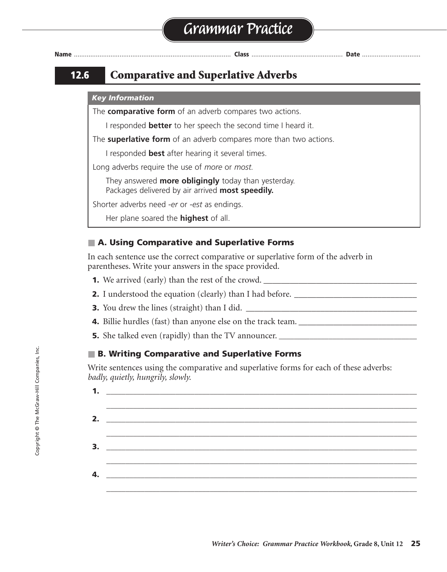# **Grammar Practice**



**Name** ...................................................................................... **Class** .................................................. **Date** ................................

# **12.6 Comparative and Superlative Adverbs**

### *Key Information*

The **comparative form** of an adverb compares two actions.

I responded **better** to her speech the second time I heard it.

The **superlative form** of an adverb compares more than two actions.

I responded **best** after hearing it several times.

Long adverbs require the use of *more* or *most.*

They answered **more obligingly** today than yesterday. Packages delivered by air arrived **most speedily.**

Shorter adverbs need *-er* or *-est* as endings.

Her plane soared the **highest** of all.

# ■ **A. Using Comparative and Superlative Forms**

In each sentence use the correct comparative or superlative form of the adverb in parentheses. Write your answers in the space provided.

- **1.** We arrived (early) than the rest of the crowd. \_\_\_\_\_\_\_\_\_\_\_\_\_\_\_\_\_\_\_\_\_\_\_\_\_\_\_\_\_\_\_\_\_\_\_ earlier
- **2.** I understood the equation (clearly) than I had before. \_\_\_\_\_\_\_\_\_\_\_\_\_\_\_\_\_\_\_\_\_\_\_\_\_\_\_
- **3.** You drew the lines (straight) than I did. \_\_\_\_\_\_\_\_\_\_\_\_\_\_\_\_\_\_\_\_\_\_\_\_\_\_\_\_\_\_\_\_\_\_\_\_\_\_\_ straighter
- **4.** Billie hurdles (fast) than anyone else on the track team. \_\_\_\_\_\_\_\_\_\_\_\_\_\_\_\_\_\_\_\_\_\_\_\_\_\_\_ faster
- **5.** She talked even (rapidly) than the TV announcer. **\_\_\_\_\_\_\_\_\_\_\_\_\_\_\_\_\_\_\_\_\_\_\_\_\_\_\_\_\_\_\_\_\_\_\_\_** more rapidly

# ■ **B. Writing Comparative and Superlative Forms**

Write sentences using the comparative and superlative forms for each of these adverbs: *badly, quietly, hungrily, slowly.*

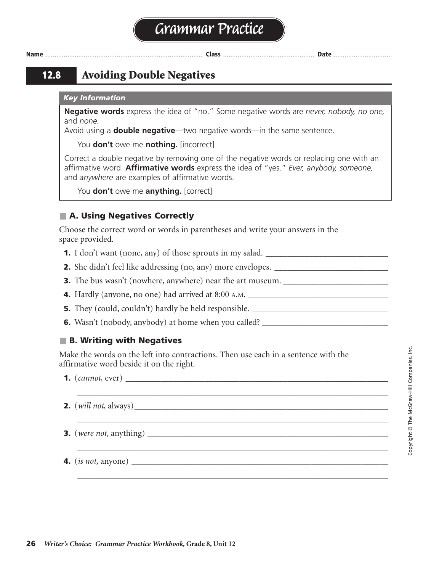**12.8 Avoiding Double Negatives**

#### *Key Information*

**Negative words** express the idea of "no." Some negative words are *never, nobody, no one,*  and *none.*

Avoid using a **double negative**—two negative words—in the same sentence.

You **don't** owe me **nothing.** [incorrect]

Correct a double negative by removing one of the negative words or replacing one with an affirmative word. **Affirmative words** express the idea of "yes." *Ever, anybody, someone,* and *anywhere* are examples of affirmative words.

You **don't** owe me **anything.** [correct]

# ■ **A. Using Negatives Correctly**

Choose the correct word or words in parentheses and write your answers in the space provided.

- **1.** I don't want (none, any) of those sprouts in my salad.
- **2.** She didn't feel like addressing (no, any) more envelopes.
- **3.** The bus wasn't (nowhere, anywhere) near the art museum.
- **4.** Hardly (anyone, no one) had arrived at 8:00 A.M. \_\_\_\_\_\_\_\_\_\_\_\_\_\_\_\_\_\_\_\_\_\_\_\_\_\_\_\_\_\_\_\_
- **5.** They (could, couldn't) hardly be held responsible.
- **6.** Wasn't (nobody, anybody) at home when you called?

### ■ **B. Writing with Negatives**

Make the words on the left into contractions. Then use each in a sentence with the affirmative word beside it on the right.

\_\_\_\_\_\_\_\_\_\_\_\_\_\_\_\_\_\_\_\_\_\_\_\_\_\_\_\_\_\_\_\_\_\_\_\_\_\_\_\_\_\_\_\_\_\_\_\_\_\_\_\_\_\_\_\_\_\_\_\_\_\_\_\_\_\_\_\_\_\_\_

\_\_\_\_\_\_\_\_\_\_\_\_\_\_\_\_\_\_\_\_\_\_\_\_\_\_\_\_\_\_\_\_\_\_\_\_\_\_\_\_\_\_\_\_\_\_\_\_\_\_\_\_\_\_\_\_\_\_\_\_\_\_\_\_\_\_\_\_\_\_\_

\_\_\_\_\_\_\_\_\_\_\_\_\_\_\_\_\_\_\_\_\_\_\_\_\_\_\_\_\_\_\_\_\_\_\_\_\_\_\_\_\_\_\_\_\_\_\_\_\_\_\_\_\_\_\_\_\_\_\_\_\_\_\_\_\_\_\_\_\_\_\_

\_\_\_\_\_\_\_\_\_\_\_\_\_\_\_\_\_\_\_\_\_\_\_\_\_\_\_\_\_\_\_\_\_\_\_\_\_\_\_\_\_\_\_\_\_\_\_\_\_\_\_\_\_\_\_\_\_\_\_\_\_\_\_\_\_\_\_\_\_\_\_

**1.** (*cannot,* ever) \_\_\_\_\_\_\_\_\_\_\_\_\_\_\_\_\_\_\_\_\_\_\_\_\_\_\_\_\_\_\_\_\_\_\_\_\_\_\_\_\_\_\_\_\_\_\_\_\_\_\_\_\_\_\_\_\_\_\_\_ can't ever

- **2.** (*will not,* always)\_\_\_\_\_\_\_\_\_\_\_\_\_\_\_\_\_\_\_\_\_\_\_\_\_\_\_\_\_\_\_\_\_\_\_\_\_\_\_\_\_\_\_\_\_\_\_\_\_\_\_\_\_\_\_\_\_\_ won't always
- **3.** (*were not,* anything) \_\_\_\_\_\_\_\_\_\_\_\_\_\_\_\_\_\_\_\_\_\_\_\_\_\_\_\_\_\_\_\_\_\_\_\_\_\_\_\_\_\_\_\_\_\_\_\_\_\_\_\_\_\_\_ weren't anything

**4.** (*is not,* anyone) **\_\_\_\_\_\_\_\_\_\_\_\_\_\_\_\_\_\_\_\_\_\_\_\_\_\_\_\_\_\_\_\_\_\_\_\_\_\_\_\_\_\_\_\_\_\_\_\_\_\_\_\_\_\_\_\_\_\_\_\_\_\_\_\_\_\_\_** isn't anyone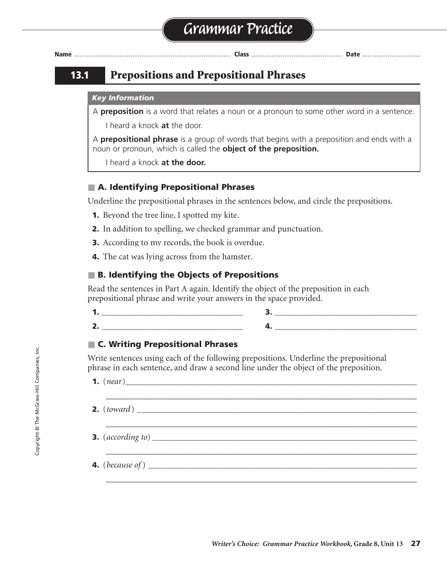

# **13.1 Prepositions and Prepositional Phrases**

#### *Key Information*

A **preposition** is a word that relates a noun or a pronoun to some other word in a sentence.

I heard a knock **at** the door.

A **prepositional phrase** is a group of words that begins with a preposition and ends with a noun or pronoun, which is called the **object of the preposition.**

I heard a knock **at the door.**

# ■ **A. Identifying Prepositional Phrases**

Underline the prepositional phrases in the sentences below, and circle the prepositions.

- **1.** Beyond the tree line, I spotted my kite.
- **2.** In addition to spelling, we checked grammar and punctuation.
- **3.** According to my records, the book is overdue.
- **4.** The cat was lying across from the hamster.

# ■ **B. Identifying the Objects of Prepositions**

Read the sentences in Part A again. Identify the object of the preposition in each prepositional phrase and write your answers in the space provided.

**2. \_\_\_\_\_\_\_\_\_\_\_\_\_\_\_\_\_\_\_\_\_\_\_\_\_\_\_\_\_\_\_\_\_\_\_\_\_ 4. \_\_\_\_\_\_\_\_\_\_\_\_\_\_\_\_\_\_\_\_\_\_\_\_\_\_\_\_\_\_\_\_\_\_\_\_\_** spelling

### ■ **C. Writing Prepositional Phrases**

Write sentences using each of the following prepositions. Underline the prepositional phrase in each sentence, and draw a second line under the object of the preposition.

\_\_\_\_\_\_\_\_\_\_\_\_\_\_\_\_\_\_\_\_\_\_\_\_\_\_\_\_\_\_\_\_\_\_\_\_\_\_\_\_\_\_\_\_\_\_\_\_\_\_\_\_\_\_\_\_\_\_\_\_\_\_\_\_\_\_\_\_\_\_\_

hamster

\_\_\_\_\_\_\_\_\_\_\_\_\_\_\_\_\_\_\_\_\_\_\_\_\_\_\_\_\_\_\_\_\_\_\_\_\_\_\_\_\_\_\_\_\_\_\_\_\_\_\_\_\_\_\_\_\_\_\_\_\_\_\_\_\_\_\_\_\_\_\_

\_\_\_\_\_\_\_\_\_\_\_\_\_\_\_\_\_\_\_\_\_\_\_\_\_\_\_\_\_\_\_\_\_\_\_\_\_\_\_\_\_\_\_\_\_\_\_\_\_\_\_\_\_\_\_\_\_\_\_\_\_\_\_\_\_\_\_\_\_\_\_

\_\_\_\_\_\_\_\_\_\_\_\_\_\_\_\_\_\_\_\_\_\_\_\_\_\_\_\_\_\_\_\_\_\_\_\_\_\_\_\_\_\_\_\_\_\_\_\_\_\_\_\_\_\_\_\_\_\_\_\_\_\_\_\_\_\_\_\_\_\_\_

**1.**  $(*near*)$ 

- **2.** (*toward*)
- **3.**  $(acording to)$

**4.** (*because of* ) *\_\_\_\_\_\_\_\_\_\_\_\_\_\_\_\_\_\_\_\_\_\_\_\_\_\_\_\_\_\_\_\_\_\_\_\_\_\_\_\_\_\_\_\_\_\_\_\_\_\_\_\_\_\_\_\_\_\_\_\_\_\_\_\_\_\_\_\_\_\_*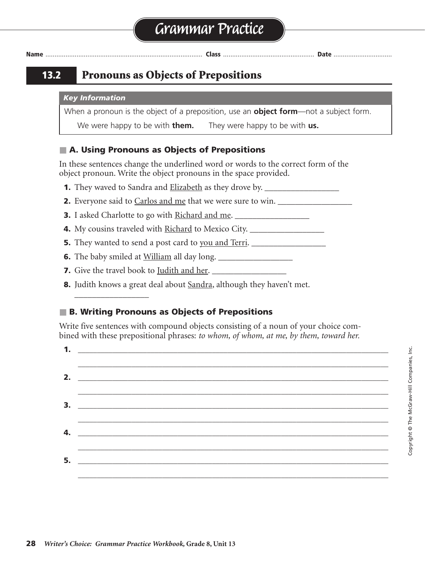# **13.2 Pronouns as Objects of Prepositions**

#### *Key Information*

When a pronoun is the object of a preposition, use an **object form**—not a subject form.

We were happy to be with **them.** They were happy to be with **us.**

# ■ **A. Using Pronouns as Objects of Prepositions**

In these sentences change the underlined word or words to the correct form of the object pronoun. Write the object pronouns in the space provided.

- **1.** They waved to Sandra and Elizabeth as they drove by. \_\_\_\_\_\_\_\_\_\_\_\_\_\_\_\_\_ her
- **2.** Everyone said to Carlos and me that we were sure to win. \_\_\_\_\_\_\_\_\_\_\_\_\_\_\_\_\_\_\_
- **3.** I asked Charlotte to go with Richard and me.
- **4.** My cousins traveled with Richard to Mexico City. \_\_\_\_\_\_\_\_\_\_\_\_\_\_\_\_\_\_\_\_\_\_\_\_\_\_\_
- **5.** They wanted to send a post card to you and Terri. \_\_\_\_\_\_\_\_\_\_\_\_\_\_\_\_\_ you
- **6.** The baby smiled at William all day long.
- **7.** Give the travel book to <u>Judith and her</u>.

 $\overline{\phantom{a}}$  , where  $\overline{\phantom{a}}$ 

**8.** Judith knows a great deal about Sandra, although they haven't met.

# ■ **B. Writing Pronouns as Objects of Prepositions**

Write five sentences with compound objects consisting of a noun of your choice combined with these prepositional phrases: *to whom, of whom, at me, by them, toward her.*

| $\overline{\mathbf{3.}}$ $\overline{\mathbf{1.}}$ |  |
|---------------------------------------------------|--|
|                                                   |  |
|                                                   |  |
|                                                   |  |
|                                                   |  |
|                                                   |  |
|                                                   |  |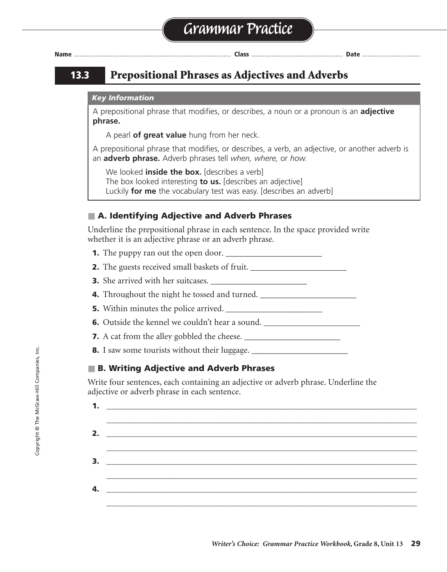# **13.3 Prepositional Phrases as Adjectives and Adverbs**

### *Key Information*

A prepositional phrase that modifies, or describes, a noun or a pronoun is an **adjective phrase.**

A pearl **of great value** hung from her neck.

A prepositional phrase that modifies, or describes, a verb, an adjective, or another adverb is an **adverb phrase.** Adverb phrases tell *when, where,* or *how.*

We looked **inside the box.** [describes a verb] The box looked interesting **to us.** [describes an adjective] Luckily **for me** the vocabulary test was easy. [describes an adverb]

# ■ **A. Identifying Adjective and Adverb Phrases**

Underline the prepositional phrase in each sentence. In the space provided write whether it is an adjective phrase or an adverb phrase.

- **1.** The puppy ran out the open door.
- **2.** The guests received small baskets of fruit. \_\_\_\_\_\_\_\_\_\_\_\_\_\_\_\_\_\_\_\_\_\_ adjective
- **3.** She arrived with her suitcases. \_\_\_\_\_\_\_\_\_\_\_\_\_\_\_\_\_\_\_\_\_\_ adverb

**4.** Throughout the night he tossed and turned. \_\_\_\_\_\_\_\_\_\_\_\_\_\_\_\_\_\_\_\_\_\_ adverb

- **5.** Within minutes the police arrived. \_\_\_\_\_\_\_\_\_\_\_\_\_\_\_\_\_\_\_\_\_\_ adverb
- **6.** Outside the kennel we couldn't hear a sound. \_\_\_\_\_\_\_\_\_\_\_\_\_\_\_\_\_\_\_\_\_\_\_\_\_\_\_\_\_\_\_
- **7.** A cat from the alley gobbled the cheese. \_\_\_\_\_\_\_\_\_\_\_\_\_\_\_\_\_\_\_\_\_\_ adjective

**8.** I saw some tourists without their luggage. \_\_\_\_\_\_\_\_\_\_\_\_\_\_\_\_\_\_\_\_\_\_ adjective

# ■ **B. Writing Adjective and Adverb Phrases**

Write four sentences, each containing an adjective or adverb phrase. Underline the adjective or adverb phrase in each sentence.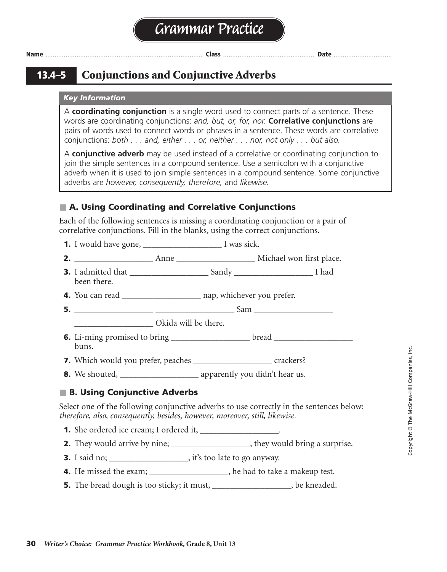**13.4–5 Conjunctions and Conjunctive Adverbs**

#### *Key Information*

A **coordinating conjunction** is a single word used to connect parts of a sentence. These words are coordinating conjunctions: *and, but, or, for, nor.* **Correlative conjunctions** are pairs of words used to connect words or phrases in a sentence. These words are correlative conjunctions: *both . . . and, either . . . or, neither . . . nor, not only . . . but also.*

A **conjunctive adverb** may be used instead of a correlative or coordinating conjunction to join the simple sentences in a compound sentence. Use a semicolon with a conjunctive adverb when it is used to join simple sentences in a compound sentence. Some conjunctive adverbs are *however, consequently, therefore,* and *likewise.*

### ■ **A. Using Coordinating and Correlative Conjunctions**

Each of the following sentences is missing a coordinating conjunction or a pair of correlative conjunctions. Fill in the blanks, using the correct conjunctions.

**1.** I would have gone, \_\_\_\_\_\_\_\_\_\_\_\_\_\_\_\_\_\_\_\_\_\_\_\_ I was sick.

**2.** \_\_\_\_\_\_\_\_\_\_\_\_\_\_\_\_\_\_ Anne \_\_\_\_\_\_\_\_\_\_\_\_\_\_\_\_\_\_ Michael won first place. Both and

**3.** I admitted that \_\_\_\_\_\_\_\_\_\_\_\_\_\_\_\_\_\_ Sandy \_\_\_\_\_\_\_\_\_\_\_\_\_\_\_\_\_\_ I had both and been there.

**4.** You can read \_\_\_\_\_\_\_\_\_\_\_\_\_\_\_\_\_\_\_\_\_\_ nap, whichever you prefer.

- **5.** \_\_\_\_\_\_\_\_\_\_\_\_\_\_\_\_\_\_ \_\_\_\_\_\_\_\_\_\_\_\_\_\_\_\_\_\_ Sam \_\_\_\_\_\_\_\_\_\_\_\_\_\_\_\_\_\_ Not only but
- \_\_\_\_\_\_\_\_\_\_\_\_\_\_\_\_\_\_ Okida will be there.
- **6.** Li-ming promised to bring \_\_\_\_\_\_\_\_\_\_\_\_\_\_\_\_\_\_\_\_\_bread \_\_\_\_\_\_\_\_\_\_\_\_\_\_\_\_\_\_\_\_\_\_\_ buns.

**7.** Which would you prefer, peaches \_\_\_\_\_\_\_\_\_\_\_\_\_\_\_\_\_\_\_\_\_\_\_ crackers?

**8.** We shouted, \_\_\_\_\_\_\_\_\_\_\_\_\_\_\_\_\_\_ apparently you didn't hear us. but

### ■ **B. Using Conjunctive Adverbs**

Select one of the following conjunctive adverbs to use correctly in the sentences below: *therefore, also, consequently, besides, however, moreover, still, likewise.*

- **1.** She ordered ice cream; I ordered it, \_\_\_\_\_\_\_\_\_\_\_\_\_\_\_\_\_\_\_.
- **2.** They would arrive by nine; \_\_\_\_\_\_\_\_\_\_\_\_\_\_\_\_\_\_\_\_, they would bring a surprise.

**3.** I said no; \_\_\_\_\_\_\_\_\_\_\_\_\_\_\_\_, it's too late to go anyway.

- **4.** He missed the exam; \_\_\_\_\_\_\_\_\_\_\_\_\_\_\_\_\_\_\_\_, he had to take a makeup test.
- **5.** The bread dough is too sticky; it must, \_\_\_\_\_\_\_\_\_\_\_\_\_\_\_\_\_\_, be kneaded.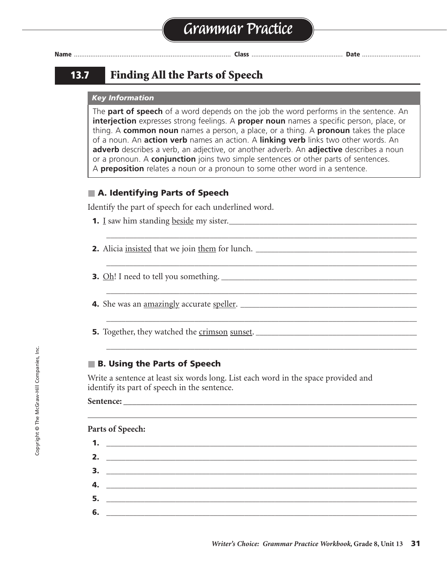# **13.7 Finding All the Parts of Speech**

### *Key Information*

The **part of speech** of a word depends on the job the word performs in the sentence. An **interjection** expresses strong feelings. A **proper noun** names a specific person, place, or thing. A **common noun** names a person, a place, or a thing. A **pronoun** takes the place of a noun. An **action verb** names an action. A **linking verb** links two other words. An **adverb** describes a verb, an adjective, or another adverb. An **adjective** describes a noun or a pronoun. A **conjunction** joins two simple sentences or other parts of sentences. A **preposition** relates a noun or a pronoun to some other word in a sentence.

**\_\_\_\_\_\_\_\_\_\_\_\_\_\_\_\_\_\_\_\_\_\_\_\_\_\_\_\_\_\_\_\_\_\_\_\_\_\_\_\_\_\_\_\_\_\_\_\_\_\_\_\_\_\_\_\_\_\_\_\_\_\_\_\_\_\_\_\_\_\_\_\_\_\_\_\_\_\_\_\_\_**

**\_\_\_\_\_\_\_\_\_\_\_\_\_\_\_\_\_\_\_\_\_\_\_\_\_\_\_\_\_\_\_\_\_\_\_\_\_\_\_\_\_\_\_\_\_\_\_\_\_\_\_\_\_\_\_\_\_\_\_\_\_\_\_\_\_\_\_\_\_\_\_\_\_\_\_\_\_\_\_\_\_**

**\_\_\_\_\_\_\_\_\_\_\_\_\_\_\_\_\_\_\_\_\_\_\_\_\_\_\_\_\_\_\_\_\_\_\_\_\_\_\_\_\_\_\_\_\_\_\_\_\_\_\_\_\_\_\_\_\_\_\_\_\_\_\_\_\_\_\_\_\_\_\_\_\_\_\_\_\_\_\_\_\_**

**\_\_\_\_\_\_\_\_\_\_\_\_\_\_\_\_\_\_\_\_\_\_\_\_\_\_\_\_\_\_\_\_\_\_\_\_\_\_\_\_\_\_\_\_\_\_\_\_\_\_\_\_\_\_\_\_\_\_\_\_\_\_\_\_\_\_\_\_\_\_\_\_\_\_\_\_\_\_\_\_\_**

**\_\_\_\_\_\_\_\_\_\_\_\_\_\_\_\_\_\_\_\_\_\_\_\_\_\_\_\_\_\_\_\_\_\_\_\_\_\_\_\_\_\_\_\_\_\_\_\_\_\_\_\_\_\_\_\_\_\_\_\_\_\_\_\_\_\_\_\_\_\_\_\_\_\_\_\_\_\_\_\_\_**

# ■ **A. Identifying Parts of Speech**

Identify the part of speech for each underlined word.

- **1.** I saw him standing <u>beside</u> my sister.
- **2.** Alicia insisted that we join them for lunch. **\_\_\_\_\_\_\_\_\_\_\_\_\_\_\_\_\_\_\_\_\_\_\_\_\_\_\_\_\_\_\_\_\_\_\_\_\_\_\_\_\_\_**
- **3.** Oh! I need to tell you something. **\_\_\_\_\_\_\_\_\_\_\_\_\_\_\_\_\_\_\_\_\_\_\_\_\_\_\_\_\_\_\_\_\_\_\_\_\_\_\_\_\_\_\_\_\_\_\_\_\_\_\_**
- **4.** She was an amazingly accurate speller. **\_\_\_\_\_\_\_\_\_\_\_\_\_\_\_\_\_\_\_\_\_\_\_\_\_\_\_\_\_\_\_\_\_\_\_\_\_\_\_\_\_\_\_\_\_\_**
- **5.** Together, they watched the crimson sunset. **\_\_\_\_\_\_\_\_\_\_\_\_\_\_\_\_\_\_\_\_\_\_\_\_\_\_\_\_\_\_\_\_\_\_\_\_\_\_\_\_\_\_**

# ■ **B. Using the Parts of Speech**

Write a sentence at least six words long. List each word in the space provided and identify its part of speech in the sentence.

#### Sentence:

# **Parts of Speech:**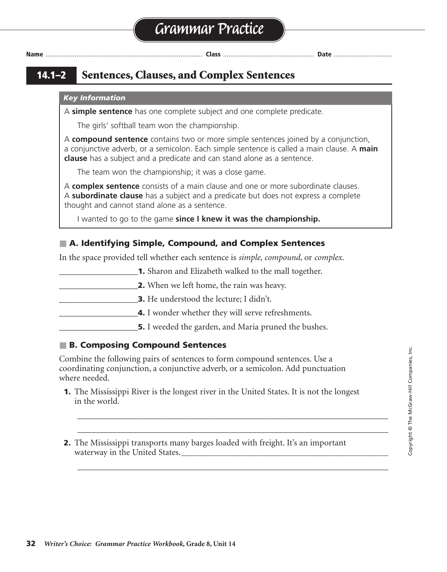**14.1–2 Sentences, Clauses, and Complex Sentences**

#### *Key Information*

A **simple sentence** has one complete subject and one complete predicate.

The girls' softball team won the championship.

A **compound sentence** contains two or more simple sentences joined by a conjunction, a conjunctive adverb, or a semicolon. Each simple sentence is called a main clause. A **main clause** has a subject and a predicate and can stand alone as a sentence.

The team won the championship; it was a close game.

A **complex sentence** consists of a main clause and one or more subordinate clauses. A **subordinate clause** has a subject and a predicate but does not express a complete thought and cannot stand alone as a sentence.

I wanted to go to the game **since I knew it was the championship.**

# ■ **A. Identifying Simple, Compound, and Complex Sentences**

In the space provided tell whether each sentence is *simple, compound,* or *complex.*

- **1.** Sharon and Elizabeth walked to the mall together.
- \_\_\_\_\_\_\_\_\_\_\_\_\_\_\_\_\_\_**2.** When we left home, the rain was heavy.
- **3.** He understood the lecture; I didn't.
	- **4.** I wonder whether they will serve refreshments.
	- **\_5.** I weeded the garden, and Maria pruned the bushes.

# ■ **B. Composing Compound Sentences**

Combine the following pairs of sentences to form compound sentences. Use a coordinating conjunction, a conjunctive adverb, or a semicolon. Add punctuation where needed.

**1.** The Mississippi River is the longest river in the United States. It is not the longest in the world.

\_\_\_\_\_\_\_\_\_\_\_\_\_\_\_\_\_\_\_\_\_\_\_\_\_\_\_\_\_\_\_\_\_\_\_\_\_\_\_\_\_\_\_\_\_\_\_\_\_\_\_\_\_\_\_\_\_\_\_\_\_\_\_\_\_\_\_\_\_\_\_ \_\_\_\_\_\_\_\_\_\_\_\_\_\_\_\_\_\_\_\_\_\_\_\_\_\_\_\_\_\_\_\_\_\_\_\_\_\_\_\_\_\_\_\_\_\_\_\_\_\_\_\_\_\_\_\_\_\_\_\_\_\_\_\_\_\_\_\_\_\_\_

\_\_\_\_\_\_\_\_\_\_\_\_\_\_\_\_\_\_\_\_\_\_\_\_\_\_\_\_\_\_\_\_\_\_\_\_\_\_\_\_\_\_\_\_\_\_\_\_\_\_\_\_\_\_\_\_\_\_\_\_\_\_\_\_\_\_\_\_\_\_\_

**2.** The Mississippi transports many barges loaded with freight. It's an important waterway in the United States.**\_\_\_\_\_\_\_\_\_\_\_\_\_\_\_\_\_\_\_\_\_\_\_\_\_\_\_\_\_\_\_\_\_\_\_\_\_\_\_\_\_\_\_\_\_\_\_\_\_\_\_\_\_\_** The Mississippi transports many barges loaded with freight;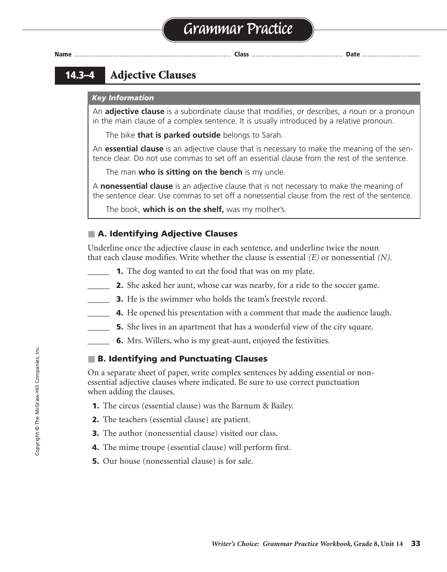

# **14.3–4 Adjective Clauses**

### *Key Information*

An **adjective clause** is a subordinate clause that modifies, or describes, a noun or a pronoun in the main clause of a complex sentence. It is usually introduced by a relative pronoun.

The bike **that is parked outside** belongs to Sarah.

An **essential clause** is an adjective clause that is necessary to make the meaning of the sentence clear. Do not use commas to set off an essential clause from the rest of the sentence.

The man **who is sitting on the bench** is my uncle.

A **nonessential clause** is an adjective clause that is not necessary to make the meaning of the sentence clear. Use commas to set off a nonessential clause from the rest of the sentence.

The book, **which is on the shelf,** was my mother's.

# ■ **A. Identifying Adjective Clauses**

Underline once the adjective clause in each sentence, and underline twice the noun that each clause modifies. Write whether the clause is essential *(E)* or nonessential *(N).*

- **1.** The dog wanted to eat the food that was on my plate.
- *\_\_\_\_\_* **2.** She asked her aunt, whose car was nearby, for a ride to the soccer game.
- **3.** He is the swimmer who holds the team's freestyle record.
- *\_\_\_\_\_* **4.** He opened his presentation with a comment that made the audience laugh.
- **5.** She lives in an apartment that has a wonderful view of the city square.
	- **6.** Mrs. Willers, who is my great-aunt, enjoyed the festivities.

# ■ **B. Identifying and Punctuating Clauses**

On a separate sheet of paper, write complex sentences by adding essential or nonessential adjective clauses where indicated. Be sure to use correct punctuation when adding the clauses.

- **1.** The circus (essential clause) was the Barnum & Bailey.
- **2.** The teachers (essential clause) are patient.
- **3.** The author (nonessential clause) visited our class.
- **4.** The mime troupe (essential clause) will perform first.
- **5.** Our house (nonessential clause) is for sale.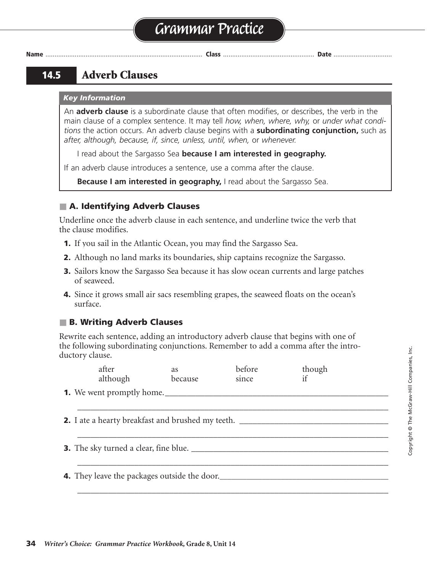# **Grammar Practice**

**Name** ...................................................................................... **Class** .................................................. **Date** ................................

# **14.5 Adverb Clauses**

#### *Key Information*

An **adverb clause** is a subordinate clause that often modifies, or describes, the verb in the main clause of a complex sentence. It may tell *how, when, where, why,* or *under what conditions* the action occurs. An adverb clause begins with a **subordinating conjunction,** such as *after, although, because, if, since, unless, until, when,* or *whenever.*

I read about the Sargasso Sea **because I am interested in geography.**

If an adverb clause introduces a sentence, use a comma after the clause.

**Because I am interested in geography,** I read about the Sargasso Sea.

# ■ **A. Identifying Adverb Clauses**

Underline once the adverb clause in each sentence, and underline twice the verb that the clause modifies.

- **1.** If you sail in the Atlantic Ocean, you may find the Sargasso Sea.
- **2.** Although no land marks its boundaries, ship captains recognize the Sargasso.
- **3.** Sailors know the Sargasso Sea because it has slow ocean currents and large patches of seaweed.
- **4.** Since it grows small air sacs resembling grapes, the seaweed floats on the ocean's surface.

# ■ **B. Writing Adverb Clauses**

Rewrite each sentence, adding an introductory adverb clause that begins with one of the following subordinating conjunctions. Remember to add a comma after the introductory clause.

| after<br>although                                        | <i>as</i><br>because | before<br>since | though |  |
|----------------------------------------------------------|----------------------|-----------------|--------|--|
| <b>1.</b> We went promptly home.                         |                      |                 |        |  |
| <b>2.</b> I ate a hearty breakfast and brushed my teeth. |                      |                 |        |  |
|                                                          |                      |                 |        |  |
|                                                          |                      |                 |        |  |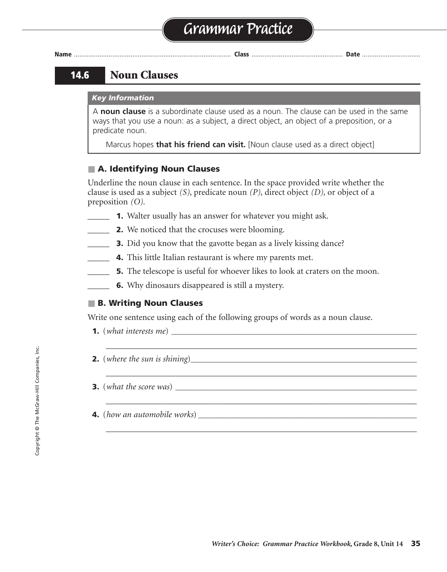# **14.6 Noun Clauses**

#### *Key Information*

A **noun clause** is a subordinate clause used as a noun. The clause can be used in the same ways that you use a noun: as a subject, a direct object, an object of a preposition, or a predicate noun.

Marcus hopes **that his friend can visit.** [Noun clause used as a direct object]

### ■ **A. Identifying Noun Clauses**

Underline the noun clause in each sentence. In the space provided write whether the clause is used as a subject *(S)*, predicate noun *(P),* direct object *(D),* or object of a preposition *(O).*

- **1.** Walter usually has an answer for whatever you might ask.
	- *\_\_\_\_\_* **2.** We noticed that the crocuses were blooming.
- **3.** Did you know that the gavotte began as a lively kissing dance?
- **4.** This little Italian restaurant is where my parents met.
- **5.** The telescope is useful for whoever likes to look at craters on the moon.

\_\_\_\_\_\_\_\_\_\_\_\_\_\_\_\_\_\_\_\_\_\_\_\_\_\_\_\_\_\_\_\_\_\_\_\_\_\_\_\_\_\_\_\_\_\_\_\_\_\_\_\_\_\_\_\_\_\_\_\_\_\_\_\_\_\_\_\_\_\_\_

\_\_\_\_\_\_\_\_\_\_\_\_\_\_\_\_\_\_\_\_\_\_\_\_\_\_\_\_\_\_\_\_\_\_\_\_\_\_\_\_\_\_\_\_\_\_\_\_\_\_\_\_\_\_\_\_\_\_\_\_\_\_\_\_\_\_\_\_\_\_\_

\_\_\_\_\_\_\_\_\_\_\_\_\_\_\_\_\_\_\_\_\_\_\_\_\_\_\_\_\_\_\_\_\_\_\_\_\_\_\_\_\_\_\_\_\_\_\_\_\_\_\_\_\_\_\_\_\_\_\_\_\_\_\_\_\_\_\_\_\_\_\_

**6.** Why dinosaurs disappeared is still a mystery.

# ■ **B. Writing Noun Clauses**

Write one sentence using each of the following groups of words as a noun clause.

- **1.** (*what interests me*) *\_\_\_\_\_\_\_\_\_\_\_\_\_\_\_\_\_\_\_\_\_\_\_\_\_\_\_\_\_\_\_\_\_\_\_\_\_\_\_\_\_\_\_\_\_\_\_\_\_\_\_\_\_\_\_\_\_\_\_\_\_\_\_\_* Sentences will vary.
- **2.** (*where the sun is shining*)*\_\_\_\_\_\_\_\_\_\_\_\_\_\_\_\_\_\_\_\_\_\_\_\_\_\_\_\_\_\_\_\_\_\_\_\_\_\_\_\_\_\_\_\_\_\_\_\_\_\_\_\_\_\_\_\_\_\_\_*
- **3.** (*what the score was*)
- **4.** (*how an automobile works*) *\_\_\_\_\_\_\_\_\_\_\_\_\_\_\_\_\_\_\_\_\_\_\_\_\_\_\_\_\_\_\_\_\_\_\_\_\_\_\_\_\_\_\_\_\_\_\_\_\_\_\_\_\_\_\_\_\_*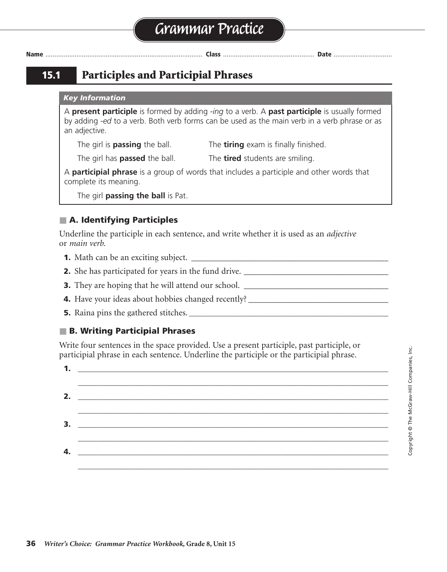**15.1 Participles and Participial Phrases**

#### *Key Information*

A **present participle** is formed by adding *-ing* to a verb. A **past participle** is usually formed by adding *-ed* to a verb. Both verb forms can be used as the main verb in a verb phrase or as an adjective.

The girl is **passing** the ball. The **tiring** exam is finally finished.

The girl has **passed** the ball. The **tired** students are smiling.

A **participial phrase** is a group of words that includes a participle and other words that complete its meaning.

The girl **passing the ball** is Pat.

# ■ **A. Identifying Participles**

Underline the participle in each sentence, and write whether it is used as an *adjective* or *main verb.*

- **1.** Math can be an exciting subject. \_\_\_\_\_\_\_\_\_\_\_\_\_\_\_\_\_\_\_\_\_\_\_\_\_\_\_\_\_\_\_\_\_\_\_\_\_\_\_\_\_\_\_\_\_ adjective
- **2.** She has participated for years in the fund drive. \_\_\_\_\_\_\_\_\_\_\_\_\_\_\_\_\_\_\_\_\_\_\_\_\_\_\_\_\_\_\_\_\_ main verb
- **3.** They are hoping that he will attend our school. \_\_\_\_\_\_\_\_\_\_\_\_\_\_\_\_\_\_\_\_\_\_\_\_\_\_\_\_\_\_\_\_\_ main verb
- **4.** Have your ideas about hobbies changed recently? \_\_\_\_\_\_\_\_\_\_\_\_\_\_\_\_\_\_\_\_\_\_\_\_\_\_\_\_\_\_\_\_ main verb
- **5.** Raina pins the gathered stitches. **\_\_\_\_\_\_\_\_\_\_\_\_\_\_\_\_\_\_\_\_\_\_\_\_\_\_\_\_\_\_\_\_\_\_\_\_\_\_\_\_\_\_\_\_\_\_\_\_\_\_\_\_** adjective

### ■ **B. Writing Participial Phrases**

Write four sentences in the space provided. Use a present participle, past participle, or participial phrase in each sentence. Underline the participle or the participial phrase.

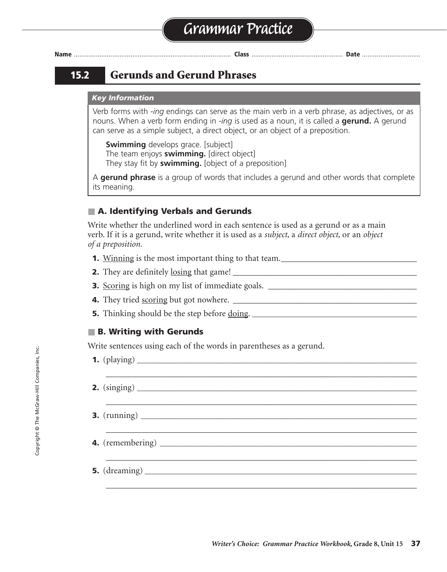# **15.2 Gerunds and Gerund Phrases**

#### *Key Information*

Verb forms with *-ing* endings can serve as the main verb in a verb phrase, as adjectives, or as nouns. When a verb form ending in *-ing* is used as a noun, it is called a **gerund.** A gerund can serve as a simple subject, a direct object, or an object of a preposition.

**Swimming** develops grace. [subject] The team enjoys **swimming.** [direct object] They stay fit by **swimming.** [object of a preposition]

A **gerund phrase** is a group of words that includes a gerund and other words that complete its meaning.

### ■ **A. Identifying Verbals and Gerunds**

Write whether the underlined word in each sentence is used as a gerund or as a main verb. If it is a gerund, write whether it is used as a *subject,* a *direct object,* or an *object of a preposition.*

- **1.** Winning is the most important thing to that team.\_\_\_\_\_\_\_\_\_\_\_\_\_\_\_\_\_\_\_\_\_\_\_\_\_\_\_\_\_\_\_\_\_
- **2.** They are definitely losing that game! \_\_\_\_\_\_\_\_\_\_\_\_\_\_\_\_\_\_\_\_\_\_\_\_\_\_\_\_\_\_\_\_\_\_\_\_\_\_\_\_\_\_ main verb
- **3.** Scoring is high on my list of immediate goals. \_\_\_\_\_\_\_\_\_\_\_\_\_\_\_\_\_\_\_\_\_\_\_\_\_\_\_\_\_\_\_\_\_\_ gerund; subject
- **4.** They tried scoring but got nowhere. \_\_\_\_\_\_\_\_\_\_\_\_\_\_\_\_\_\_\_\_\_\_\_\_\_\_\_\_\_\_\_\_\_\_\_\_\_\_\_\_\_\_ gerund; direct object

\_\_\_\_\_\_\_\_\_\_\_\_\_\_\_\_\_\_\_\_\_\_\_\_\_\_\_\_\_\_\_\_\_\_\_\_\_\_\_\_\_\_\_\_\_\_\_\_\_\_\_\_\_\_\_\_\_\_\_\_\_\_\_\_\_\_\_\_\_\_\_

\_\_\_\_\_\_\_\_\_\_\_\_\_\_\_\_\_\_\_\_\_\_\_\_\_\_\_\_\_\_\_\_\_\_\_\_\_\_\_\_\_\_\_\_\_\_\_\_\_\_\_\_\_\_\_\_\_\_\_\_\_\_\_\_\_\_\_\_\_\_\_

\_\_\_\_\_\_\_\_\_\_\_\_\_\_\_\_\_\_\_\_\_\_\_\_\_\_\_\_\_\_\_\_\_\_\_\_\_\_\_\_\_\_\_\_\_\_\_\_\_\_\_\_\_\_\_\_\_\_\_\_\_\_\_\_\_\_\_\_\_\_\_

\_\_\_\_\_\_\_\_\_\_\_\_\_\_\_\_\_\_\_\_\_\_\_\_\_\_\_\_\_\_\_\_\_\_\_\_\_\_\_\_\_\_\_\_\_\_\_\_\_\_\_\_\_\_\_\_\_\_\_\_\_\_\_\_\_\_\_\_\_\_\_

\_\_\_\_\_\_\_\_\_\_\_\_\_\_\_\_\_\_\_\_\_\_\_\_\_\_\_\_\_\_\_\_\_\_\_\_\_\_\_\_\_\_\_\_\_\_\_\_\_\_\_\_\_\_\_\_\_\_\_\_\_\_\_\_\_\_\_\_\_\_\_

**5.** Thinking should be the step before doing. **\_\_\_\_\_\_\_\_\_\_\_\_\_\_\_\_\_\_\_\_\_\_\_\_\_\_\_\_\_\_\_\_\_\_\_\_\_\_\_\_\_\_\_** gerund; object of a preposition

#### ■ **B. Writing with Gerunds**

Write sentences using each of the words in parentheses as a gerund.

- **1.** (playing) **\_\_\_\_\_\_\_\_\_\_\_\_\_\_\_\_\_\_\_\_\_\_\_\_\_\_\_\_\_\_\_\_\_\_\_\_\_\_\_\_\_\_\_\_\_\_\_\_\_\_\_\_\_\_\_\_\_\_\_\_\_\_\_\_\_\_\_\_\_\_\_\_\_** Sentences will vary.
- **2.** (singing) **\_\_\_\_\_\_\_\_\_\_\_\_\_\_\_\_\_\_\_\_\_\_\_\_\_\_\_\_\_\_\_\_\_\_\_\_\_\_\_\_\_\_\_\_\_\_\_\_\_\_\_\_\_\_\_\_\_\_\_\_\_\_\_\_\_\_\_\_\_\_\_\_\_**
- **3.** (running)
- **4.** (remembering) **\_\_\_\_\_\_\_\_\_\_\_\_\_\_\_\_\_\_\_\_\_\_\_\_\_\_\_\_\_\_\_\_\_\_\_\_\_\_\_\_\_\_\_\_\_\_\_\_\_\_\_\_\_\_\_\_\_\_\_\_\_\_\_\_\_\_\_**
- **5.** (dreaming)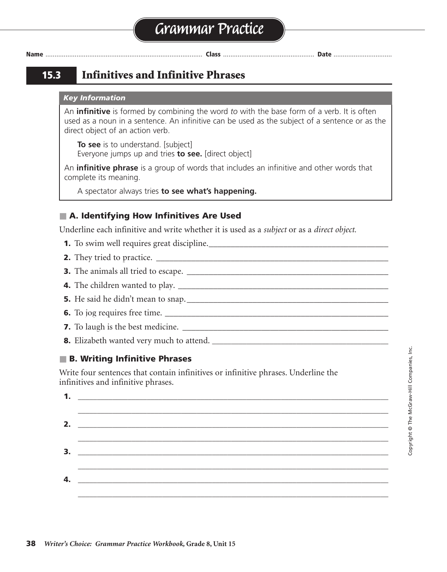**15.3 Infinitives and Infinitive Phrases**

#### *Key Information*

An **infinitive** is formed by combining the word *to* with the base form of a verb. It is often used as a noun in a sentence. An infinitive can be used as the subject of a sentence or as the direct object of an action verb.

**To see** is to understand. [subject] Everyone jumps up and tries **to see.** [direct object]

An **infinitive phrase** is a group of words that includes an infinitive and other words that complete its meaning.

A spectator always tries **to see what's happening.**

# ■ **A. Identifying How Infinitives Are Used**

Underline each infinitive and write whether it is used as a *subject* or as a *direct object.*

- **1.** To swim well requires great discipline.\_\_\_\_\_\_\_\_\_\_\_\_\_\_\_\_\_\_\_\_\_\_\_\_\_\_\_\_\_\_\_\_\_\_\_\_\_\_\_\_\_ subject
- **2.** They tried to practice. \_\_\_\_\_\_\_\_\_\_\_\_\_\_\_\_\_\_\_\_\_\_\_\_\_\_\_\_\_\_\_\_\_\_\_\_\_\_\_\_\_\_\_\_\_\_\_\_\_\_\_\_\_ direct object
- **3.** The animals all tried to escape. \_\_\_\_\_\_\_\_\_\_\_\_\_\_\_\_\_\_\_\_\_\_\_\_\_\_\_\_\_\_\_\_\_\_\_\_\_\_\_\_\_\_\_\_\_\_ direct object
- **4.** The children wanted to play. \_\_\_\_\_\_\_\_\_\_\_\_\_\_\_\_\_\_\_\_\_\_\_\_\_\_\_\_\_\_\_\_\_\_\_\_\_\_\_\_\_\_\_\_\_\_\_\_ direct object
- **5.** He said he didn't mean to snap.\_\_\_\_\_\_\_\_\_\_\_\_\_\_\_\_\_\_\_\_\_\_\_\_\_\_\_\_\_\_\_\_\_\_\_\_\_\_\_\_\_\_\_\_\_\_ direct object
- **6.** To jog requires free time. \_\_\_\_\_\_\_\_\_\_\_\_\_\_\_\_\_\_\_\_\_\_\_\_\_\_\_\_\_\_\_\_\_\_\_\_\_\_\_\_\_\_\_\_\_\_\_\_\_\_\_ subject
- **7.** To laugh is the best medicine. \_\_\_\_\_\_\_\_\_\_\_\_\_\_\_\_\_\_\_\_\_\_\_\_\_\_\_\_\_\_\_\_\_\_\_\_\_\_\_\_\_\_\_\_\_\_\_ subject
- **8.** Elizabeth wanted very much to attend. **\_\_\_\_\_\_\_\_\_\_\_\_\_\_\_\_\_\_\_\_\_\_\_\_\_\_\_\_\_\_\_\_\_\_\_\_\_\_\_\_\_\_\_\_\_\_** direct object

# ■ **B. Writing Infinitive Phrases**

Write four sentences that contain infinitives or infinitive phrases. Underline the infinitives and infinitive phrases.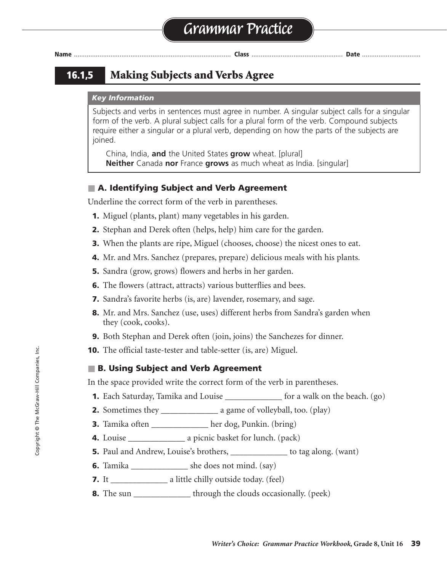# **16.1,5 Making Subjects and Verbs Agree**

#### *Key Information*

Subjects and verbs in sentences must agree in number. A singular subject calls for a singular form of the verb. A plural subject calls for a plural form of the verb. Compound subjects require either a singular or a plural verb, depending on how the parts of the subjects are joined.

China, India, **and** the United States **grow** wheat. [plural] **Neither** Canada **nor** France **grows** as much wheat as India. [singular]

### ■ **A. Identifying Subject and Verb Agreement**

Underline the correct form of the verb in parentheses.

- **1.** Miguel (plants, plant) many vegetables in his garden.
- **2.** Stephan and Derek often (helps, help) him care for the garden.
- **3.** When the plants are ripe, Miguel (chooses, choose) the nicest ones to eat.
- **4.** Mr. and Mrs. Sanchez (prepares, prepare) delicious meals with his plants.
- **5.** Sandra (grow, grows) flowers and herbs in her garden.
- **6.** The flowers (attract, attracts) various butterflies and bees.
- **7.** Sandra's favorite herbs (is, are) lavender, rosemary, and sage.
- **8.** Mr. and Mrs. Sanchez (use, uses) different herbs from Sandra's garden when they (cook, cooks).
- **9.** Both Stephan and Derek often (join, joins) the Sanchezes for dinner.
- **10.** The official taste-tester and table-setter (is, are) Miguel.

#### ■ **B. Using Subject and Verb Agreement**

In the space provided write the correct form of the verb in parentheses.

- **1.** Each Saturday, Tamika and Louise \_\_\_\_\_\_\_\_\_\_\_\_\_\_\_ for a walk on the beach. (go)
- **2.** Sometimes they \_\_\_\_\_\_\_\_\_\_\_\_\_\_\_\_\_\_\_\_ a game of volleyball, too. (play)
- **3.** Tamika often \_\_\_\_\_\_\_\_\_\_\_\_\_ her dog, Punkin. (bring)
- **4.** Louise \_\_\_\_\_\_\_\_\_\_\_\_\_ a picnic basket for lunch. (pack) packs
- **5.** Paul and Andrew, Louise's brothers, \_\_\_\_\_\_\_\_\_\_\_\_\_\_ to tag along. (want)
- **6.** Tamika \_\_\_\_\_\_\_\_\_\_\_\_\_\_\_ she does not mind. (say)
- **7.** It \_\_\_\_\_\_\_\_\_\_\_\_\_\_\_\_\_\_\_\_ a little chilly outside today. (feel)
- **8.** The sun \_\_\_\_\_\_\_\_\_\_\_\_\_\_\_ through the clouds occasionally. (peek)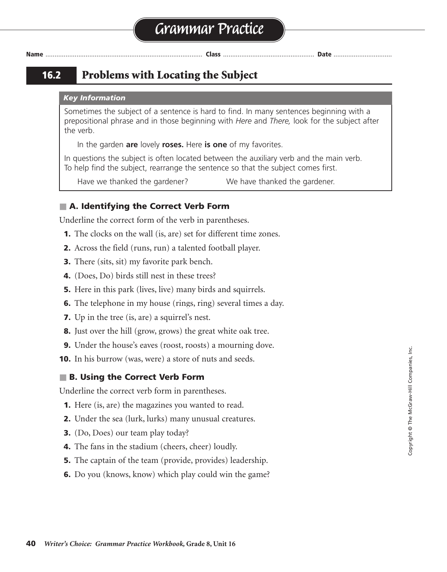# **16.2 Problems with Locating the Subject**

#### *Key Information*

Sometimes the subject of a sentence is hard to find. In many sentences beginning with a prepositional phrase and in those beginning with *Here* and *There,* look for the subject after the verb.

In the garden **are** lovely **roses.** Here **is one** of my favorites.

In questions the subject is often located between the auxiliary verb and the main verb. To help find the subject, rearrange the sentence so that the subject comes first.

Have we thanked the gardener? We have thanked the gardener.

### ■ **A. Identifying the Correct Verb Form**

Underline the correct form of the verb in parentheses.

- **1.** The clocks on the wall (is, are) set for different time zones.
- **2.** Across the field (runs, run) a talented football player.
- **3.** There (sits, sit) my favorite park bench.
- **4.** (Does, Do) birds still nest in these trees?
- **5.** Here in this park (lives, live) many birds and squirrels.
- **6.** The telephone in my house (rings, ring) several times a day.
- **7.** Up in the tree (is, are) a squirrel's nest.
- **8.** Just over the hill (grow, grows) the great white oak tree.
- **9.** Under the house's eaves (roost, roosts) a mourning dove.
- **10.** In his burrow (was, were) a store of nuts and seeds.

### ■ **B. Using the Correct Verb Form**

Underline the correct verb form in parentheses.

- **1.** Here (is, are) the magazines you wanted to read.
- **2.** Under the sea (lurk, lurks) many unusual creatures.
- **3.** (Do, Does) our team play today?
- **4.** The fans in the stadium (cheers, cheer) loudly.
- **5.** The captain of the team (provide, provides) leadership.
- **6.** Do you (knows, know) which play could win the game?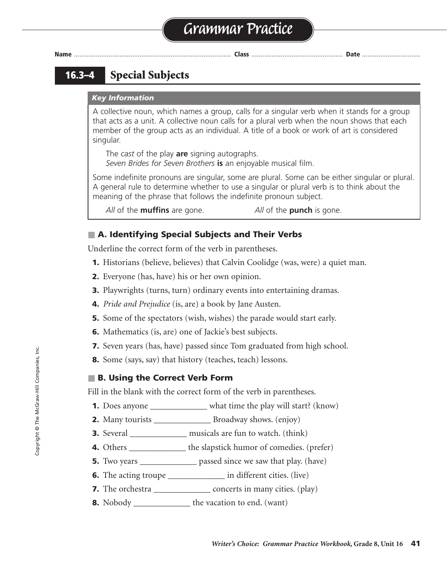# **16.3–4 Special Subjects**

#### *Key Information*

A collective noun, which names a group, calls for a singular verb when it stands for a group that acts as a unit. A collective noun calls for a plural verb when the noun shows that each member of the group acts as an individual. A title of a book or work of art is considered singular.

The *cast* of the play **are** signing autographs. *Seven Brides for Seven Brothers* **is** an enjoyable musical film.

Some indefinite pronouns are singular, some are plural. Some can be either singular or plural. A general rule to determine whether to use a singular or plural verb is to think about the meaning of the phrase that follows the indefinite pronoun subject.

*All* of the **muffins** are gone. *All* of the **punch** is gone.

### ■ A. Identifying Special Subjects and Their Verbs

Underline the correct form of the verb in parentheses.

- **1.** Historians (believe, believes) that Calvin Coolidge (was, were) a quiet man.
- **2.** Everyone (has, have) his or her own opinion.
- **3.** Playwrights (turns, turn) ordinary events into entertaining dramas.
- **4.** *Pride and Prejudice* (is, are) a book by Jane Austen.
- **5.** Some of the spectators (wish, wishes) the parade would start early.
- **6.** Mathematics (is, are) one of Jackie's best subjects.
- **7.** Seven years (has, have) passed since Tom graduated from high school.
- **8.** Some (says, say) that history (teaches, teach) lessons.

#### ■ **B. Using the Correct Verb Form**

Fill in the blank with the correct form of the verb in parentheses.

- **1.** Does anyone \_\_\_\_\_\_\_\_\_\_\_\_\_\_ what time the play will start? (know)
- **2.** Many tourists \_\_\_\_\_\_\_\_\_\_\_\_\_\_\_\_ Broadway shows. (enjoy)
- **3.** Several \_\_\_\_\_\_\_\_\_\_\_\_\_\_\_ musicals are fun to watch. (think)
- 4. Others \_\_\_\_\_\_\_\_\_\_\_\_\_\_ the slapstick humor of comedies. (prefer)
- **5.** Two years \_\_\_\_\_\_\_\_\_\_\_\_\_\_\_\_ passed since we saw that play. (have)
- **6.** The acting troupe \_\_\_\_\_\_\_\_\_\_\_\_\_\_\_ in different cities. (live)
- **7.** The orchestra \_\_\_\_\_\_\_\_\_\_\_\_\_\_\_\_ concerts in many cities. (play)
- **8.** Nobody \_\_\_\_\_\_\_\_\_\_\_\_\_\_\_ the vacation to end. (want)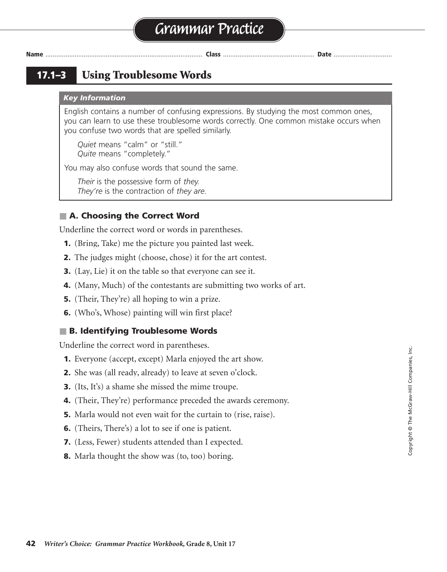**17.1–3 Using Troublesome Words**

#### *Key Information*

English contains a number of confusing expressions. By studying the most common ones, you can learn to use these troublesome words correctly. One common mistake occurs when you confuse two words that are spelled similarly.

*Quiet* means "calm" or "still." *Quite* means "completely."

You may also confuse words that sound the same.

*Their* is the possessive form of *they. They're* is the contraction of *they are.*

# ■ **A. Choosing the Correct Word**

Underline the correct word or words in parentheses.

- **1.** (Bring, Take) me the picture you painted last week.
- **2.** The judges might (choose, chose) it for the art contest.
- **3.** (Lay, Lie) it on the table so that everyone can see it.
- **4.** (Many, Much) of the contestants are submitting two works of art.
- **5.** (Their, They're) all hoping to win a prize.
- **6.** (Who's, Whose) painting will win first place?

### ■ **B. Identifying Troublesome Words**

Underline the correct word in parentheses.

- **1.** Everyone (accept, except) Marla enjoyed the art show.
- **2.** She was (all ready, already) to leave at seven o'clock.
- **3.** (Its, It's) a shame she missed the mime troupe.
- **4.** (Their, They're) performance preceded the awards ceremony.
- **5.** Marla would not even wait for the curtain to (rise, raise).
- **6.** (Theirs, There's) a lot to see if one is patient.
- **7.** (Less, Fewer) students attended than I expected.
- **8.** Marla thought the show was (to, too) boring.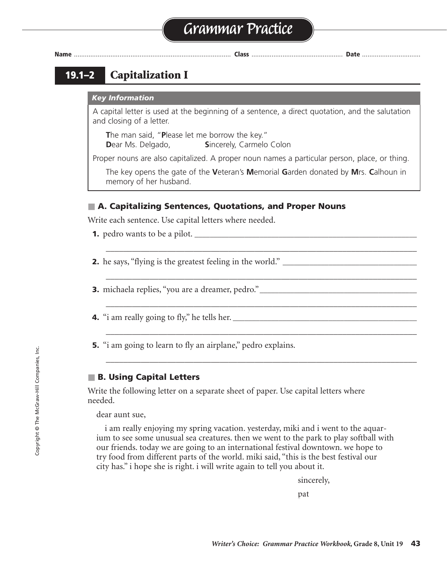

# **19.1–2 Capitalization I**

#### *Key Information*

A capital letter is used at the beginning of a sentence, a direct quotation, and the salutation and closing of a letter.

**T**he man said, "**P**lease let me borrow the key." **Dear Ms. Delgado, Sincerely, Carmelo Colon** 

Proper nouns are also capitalized. A proper noun names a particular person, place, or thing.

The key opens the gate of the **V**eteran's **M**emorial **G**arden donated by **M**rs. **C**alhoun in memory of her husband.

\_\_\_\_\_\_\_\_\_\_\_\_\_\_\_\_\_\_\_\_\_\_\_\_\_\_\_\_\_\_\_\_\_\_\_\_\_\_\_\_\_\_\_\_\_\_\_\_\_\_\_\_\_\_\_\_\_\_\_\_\_\_\_\_\_\_\_\_\_\_\_

\_\_\_\_\_\_\_\_\_\_\_\_\_\_\_\_\_\_\_\_\_\_\_\_\_\_\_\_\_\_\_\_\_\_\_\_\_\_\_\_\_\_\_\_\_\_\_\_\_\_\_\_\_\_\_\_\_\_\_\_\_\_\_\_\_\_\_\_\_\_\_

\_\_\_\_\_\_\_\_\_\_\_\_\_\_\_\_\_\_\_\_\_\_\_\_\_\_\_\_\_\_\_\_\_\_\_\_\_\_\_\_\_\_\_\_\_\_\_\_\_\_\_\_\_\_\_\_\_\_\_\_\_\_\_\_\_\_\_\_\_\_\_

\_\_\_\_\_\_\_\_\_\_\_\_\_\_\_\_\_\_\_\_\_\_\_\_\_\_\_\_\_\_\_\_\_\_\_\_\_\_\_\_\_\_\_\_\_\_\_\_\_\_\_\_\_\_\_\_\_\_\_\_\_\_\_\_\_\_\_\_\_\_\_

\_\_\_\_\_\_\_\_\_\_\_\_\_\_\_\_\_\_\_\_\_\_\_\_\_\_\_\_\_\_\_\_\_\_\_\_\_\_\_\_\_\_\_\_\_\_\_\_\_\_\_\_\_\_\_\_\_\_\_\_\_\_\_\_\_\_\_\_\_\_\_

### ■ A. Capitalizing Sentences, Quotations, and Proper Nouns

Write each sentence. Use capital letters where needed.

- **1.** pedro wants to be a pilot. **\_\_\_\_\_\_\_\_\_\_\_\_\_\_\_\_\_\_\_\_\_\_\_\_\_\_\_\_\_\_\_\_\_\_\_\_\_\_\_\_\_\_\_\_\_\_\_\_\_\_\_\_\_\_\_\_\_\_**
- **2.** he says, "flying is the greatest feeling in the world." **\_\_\_\_\_\_\_\_\_\_\_\_\_\_\_\_\_\_\_\_\_\_\_\_\_\_\_\_\_\_\_\_\_\_\_**

**3.** michaela replies, "you are a dreamer, pedro."**\_\_\_\_\_\_\_\_\_\_\_\_\_\_\_\_\_\_\_\_\_\_\_\_\_\_\_\_\_\_\_\_\_\_\_\_\_\_\_\_\_**

- **4.** "i am really going to fly," he tells her. **\_\_\_\_\_\_\_\_\_\_\_\_\_\_\_\_\_\_\_\_\_\_\_\_\_\_\_\_\_\_\_\_\_\_\_\_\_\_\_\_\_\_\_\_\_\_\_\_**
- **5.** "i am going to learn to fly an airplane," pedro explains.

# ■ **B. Using Capital Letters**

Write the following letter on a separate sheet of paper. Use capital letters where needed.

dear aunt sue,

i am really enjoying my spring vacation. yesterday, miki and i went to the aquarium to see some unusual sea creatures. then we went to the park to play softball with our friends. today we are going to an international festival downtown. we hope to try food from different parts of the world. miki said, "this is the best festival our city has." i hope she is right. i will write again to tell you about it.

sincerely,

pat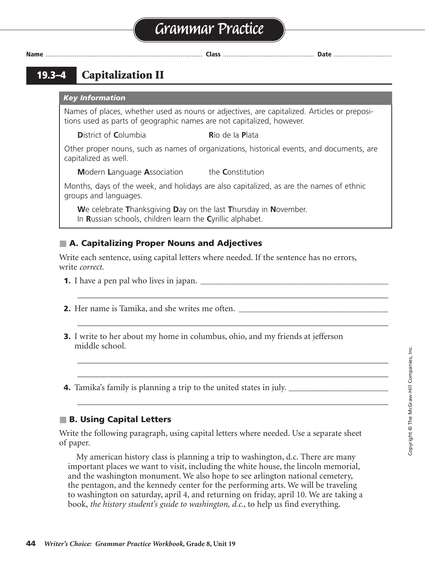# **Grammar Practice**

**Name** ...................................................................................... **Class** .................................................. **Date** ................................

**19.3–4 Capitalization II**

*Key Information*

Names of places, whether used as nouns or adjectives, are capitalized. Articles or prepositions used as parts of geographic names are not capitalized, however.

**D**istrict of **C**olumbia **R**ío de Ia **P**lata

Other proper nouns, such as names of organizations, historical events, and documents, are capitalized as well.

**M**odern **L**anguage **A**ssociation the **C**onstitution

Months, days of the week, and holidays are also capitalized, as are the names of ethnic groups and languages.

**W**e celebrate **T**hanksgiving **D**ay on the last **T**hursday in **N**ovember. In **R**ussian schools, children learn the **C**yrillic alphabet.

# ■ **A. Capitalizing Proper Nouns and Adjectives**

Write each sentence, using capital letters where needed. If the sentence has no errors, write *correct.*

\_\_\_\_\_\_\_\_\_\_\_\_\_\_\_\_\_\_\_\_\_\_\_\_\_\_\_\_\_\_\_\_\_\_\_\_\_\_\_\_\_\_\_\_\_\_\_\_\_\_\_\_\_\_\_\_\_\_\_\_\_\_\_\_\_\_\_\_\_\_\_

\_\_\_\_\_\_\_\_\_\_\_\_\_\_\_\_\_\_\_\_\_\_\_\_\_\_\_\_\_\_\_\_\_\_\_\_\_\_\_\_\_\_\_\_\_\_\_\_\_\_\_\_\_\_\_\_\_\_\_\_\_\_\_\_\_\_\_\_\_\_\_

\_\_\_\_\_\_\_\_\_\_\_\_\_\_\_\_\_\_\_\_\_\_\_\_\_\_\_\_\_\_\_\_\_\_\_\_\_\_\_\_\_\_\_\_\_\_\_\_\_\_\_\_\_\_\_\_\_\_\_\_\_\_\_\_\_\_\_\_\_\_\_ \_\_\_\_\_\_\_\_\_\_\_\_\_\_\_\_\_\_\_\_\_\_\_\_\_\_\_\_\_\_\_\_\_\_\_\_\_\_\_\_\_\_\_\_\_\_\_\_\_\_\_\_\_\_\_\_\_\_\_\_\_\_\_\_\_\_\_\_\_\_\_

\_\_\_\_\_\_\_\_\_\_\_\_\_\_\_\_\_\_\_\_\_\_\_\_\_\_\_\_\_\_\_\_\_\_\_\_\_\_\_\_\_\_\_\_\_\_\_\_\_\_\_\_\_\_\_\_\_\_\_\_\_\_\_\_\_\_\_\_\_\_\_

- **1.** I have a pen pal who lives in japan. **\_\_\_\_\_\_\_\_\_\_\_\_\_\_\_\_\_\_\_\_\_\_\_\_\_\_\_\_\_\_\_\_\_\_\_\_\_\_\_\_\_\_\_\_\_\_\_\_\_**
- **2.** Her name is Tamika, and she writes me often. **\_\_\_\_\_\_\_\_\_\_\_\_\_\_\_\_\_\_\_\_\_\_\_\_\_\_\_\_\_\_\_\_\_\_\_\_\_\_\_** correct
- **3.** I write to her about my home in columbus, ohio, and my friends at jefferson middle school.
- **4.** Tamika's family is planning a trip to the united states in july. **\_\_\_\_\_\_\_\_\_\_\_\_\_\_\_\_\_\_\_\_\_\_\_\_\_\_**

# ■ **B. Using Capital Letters**

Write the following paragraph, using capital letters where needed. Use a separate sheet of paper.

My american history class is planning a trip to washington, d.c. There are many important places we want to visit, including the white house, the lincoln memorial, and the washington monument. We also hope to see arlington national cemetery, the pentagon, and the kennedy center for the performing arts. We will be traveling to washington on saturday, april 4, and returning on friday, april 10. We are taking a book, *the history student's guide to washington, d.c.,* to help us find everything.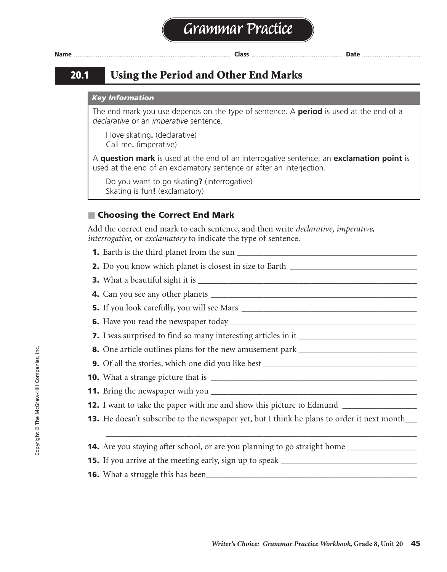

# **20.1 Using the Period and Other End Marks**

#### *Key Information*

The end mark you use depends on the type of sentence. A **period** is used at the end of a *declarative* or an *imperative* sentence.

I love skating**.** (declarative) Call me**.** (imperative)

A **question mark** is used at the end of an interrogative sentence; an **exclamation point** is used at the end of an exclamatory sentence or after an interjection.

Do you want to go skating**?** (interrogative) Skating is fun**!** (exclamatory)

# ■ **Choosing the Correct End Mark**

Add the correct end mark to each sentence, and then write *declarative, imperative, interrogative,* or *exclamatory* to indicate the type of sentence.

- **1.** Earth is the third planet from the sun \_\_\_\_\_\_\_\_\_\_\_\_\_\_\_\_\_\_\_\_\_\_\_\_\_\_\_\_\_\_\_\_\_\_\_\_\_\_\_\_\_ . declarative
- **2.** Do you know which planet is closest in size to Earth \_\_\_\_\_\_\_\_\_\_\_\_\_\_\_\_\_\_\_\_\_\_\_\_\_\_\_\_\_
- **3.** What a beautiful sight it is \_\_\_\_\_\_\_\_\_\_\_\_\_\_\_\_\_\_\_\_\_\_\_\_\_\_\_\_\_\_\_\_\_\_\_\_\_\_\_\_\_\_\_\_\_\_\_\_\_\_ ! exclamatory
- **4.** Can you see any other planets \_\_\_\_\_\_\_\_\_\_\_\_\_\_\_\_\_\_\_\_\_\_\_\_\_\_\_\_\_\_\_\_\_\_\_\_\_\_\_\_\_\_\_\_\_\_\_ ? interrogative
- **5.** If you look carefully, you will see Mars \_\_\_\_\_\_\_\_\_\_\_\_\_\_\_\_\_\_\_\_\_\_\_\_\_\_\_\_\_\_\_\_\_\_\_\_\_\_\_\_ . declarative
- **6.** Have you read the newspaper today\_\_\_\_\_\_\_\_\_\_\_\_\_\_\_\_\_\_\_\_\_\_\_\_\_\_\_\_\_\_\_\_\_\_\_\_\_\_\_\_\_\_\_ ? interrogative
- **7.** I was surprised to find so many interesting articles in it \_\_\_\_\_\_\_\_\_\_\_\_\_\_\_\_\_\_\_\_\_\_\_\_\_\_\_ . declarative
- **8.** One article outlines plans for the new amusement park \_\_\_\_\_\_\_\_\_\_\_\_\_\_\_\_\_\_\_\_\_\_\_\_\_\_\_ . declarative
- **9.** Of all the stories, which one did you like best \_\_\_\_\_\_\_\_\_\_\_\_\_\_\_\_\_\_\_\_\_\_\_\_\_\_\_\_\_\_\_\_\_\_\_ ? interrogative
- **10.** What a strange picture that is \_\_\_\_\_\_\_\_\_\_\_\_\_\_\_\_\_\_\_\_\_\_\_\_\_\_\_\_\_\_\_\_\_\_\_\_\_\_\_\_\_\_\_\_\_\_\_ ! exclamatory
- **11.** Bring the newspaper with you \_\_\_\_\_\_\_\_\_\_\_\_\_\_\_\_\_\_\_\_\_\_\_\_\_\_\_\_\_\_\_\_\_\_\_\_\_\_\_\_\_\_\_\_\_\_\_ . imperative
- **12.** I want to take the paper with me and show this picture to Edmund \_\_\_\_\_\_\_\_\_\_\_\_\_\_\_
- **13.** He doesn't subscribe to the newspaper yet, but I think he plans to order it next month\_\_\_\_

\_\_\_\_\_\_\_\_\_\_\_\_\_\_\_\_\_\_\_\_\_\_\_\_\_\_\_\_\_\_\_\_\_\_\_\_\_\_\_\_\_\_\_\_\_\_\_\_\_\_\_\_\_\_\_\_\_\_\_\_\_\_\_\_\_\_\_\_\_\_\_

- **14.** Are you staying after school, or are you planning to go straight home \_\_\_\_\_\_\_\_\_\_\_\_\_\_\_\_ ? interrogative
- **15.** If you arrive at the meeting early, sign up to speak \_\_\_\_\_\_\_\_\_\_\_\_\_\_\_\_\_\_\_\_\_\_\_\_\_\_\_\_\_\_\_ . imperative
- **16.** What a struggle this has been**\_\_\_\_\_\_\_\_\_\_\_\_\_\_\_\_\_\_\_\_\_\_\_\_\_\_\_\_\_\_\_\_\_\_\_\_\_\_\_\_\_\_\_\_\_\_\_\_\_\_\_\_\_\_\_** ! exclamatory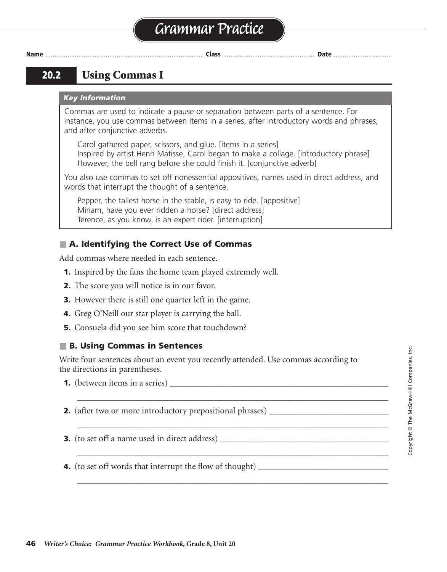# **Grammar Practice**

**Name** ...................................................................................... **Class** .................................................. **Date** ................................

# **20.2 Using Commas I**

#### *Key Information*

Commas are used to indicate a pause or separation between parts of a sentence. For instance, you use commas between items in a series, after introductory words and phrases, and after conjunctive adverbs.

Carol gathered paper, scissors, and glue. [items in a series] Inspired by artist Henri Matisse, Carol began to make a collage. [introductory phrase] However, the bell rang before she could finish it. [conjunctive adverb]

You also use commas to set off nonessential appositives, names used in direct address, and words that interrupt the thought of a sentence.

Pepper, the tallest horse in the stable, is easy to ride. [appositive] Miriam, have you ever ridden a horse? [direct address] Terence, as you know, is an expert rider. [interruption]

# ■ **A. Identifying the Correct Use of Commas**

Add commas where needed in each sentence.

- **1.** Inspired by the fans the home team played extremely well.
- **2.** The score you will notice is in our favor.
- **3.** However there is still one quarter left in the game.
- **4.** Greg O'Neill our star player is carrying the ball.
- **5.** Consuela did you see him score that touchdown?

### ■ **B. Using Commas in Sentences**

Write four sentences about an event you recently attended. Use commas according to the directions in parentheses.

\_\_\_\_\_\_\_\_\_\_\_\_\_\_\_\_\_\_\_\_\_\_\_\_\_\_\_\_\_\_\_\_\_\_\_\_\_\_\_\_\_\_\_\_\_\_\_\_\_\_\_\_\_\_\_\_\_\_\_\_\_\_\_\_\_\_\_\_\_\_\_

\_\_\_\_\_\_\_\_\_\_\_\_\_\_\_\_\_\_\_\_\_\_\_\_\_\_\_\_\_\_\_\_\_\_\_\_\_\_\_\_\_\_\_\_\_\_\_\_\_\_\_\_\_\_\_\_\_\_\_\_\_\_\_\_\_\_\_\_\_\_\_

\_\_\_\_\_\_\_\_\_\_\_\_\_\_\_\_\_\_\_\_\_\_\_\_\_\_\_\_\_\_\_\_\_\_\_\_\_\_\_\_\_\_\_\_\_\_\_\_\_\_\_\_\_\_\_\_\_\_\_\_\_\_\_\_\_\_\_\_\_\_\_

\_\_\_\_\_\_\_\_\_\_\_\_\_\_\_\_\_\_\_\_\_\_\_\_\_\_\_\_\_\_\_\_\_\_\_\_\_\_\_\_\_\_\_\_\_\_\_\_\_\_\_\_\_\_\_\_\_\_\_\_\_\_\_\_\_\_\_\_\_\_\_

**1.** (between items in a series)

- **2.** (after two or more introductory prepositional phrases)
- **3.** (to set off a name used in direct address) **\_\_\_\_\_\_\_\_\_\_\_\_\_\_\_\_\_\_\_\_\_\_\_\_\_\_\_\_\_\_\_\_\_\_\_\_\_\_\_\_\_\_\_\_**

**4.** (to set off words that interrupt the flow of thought)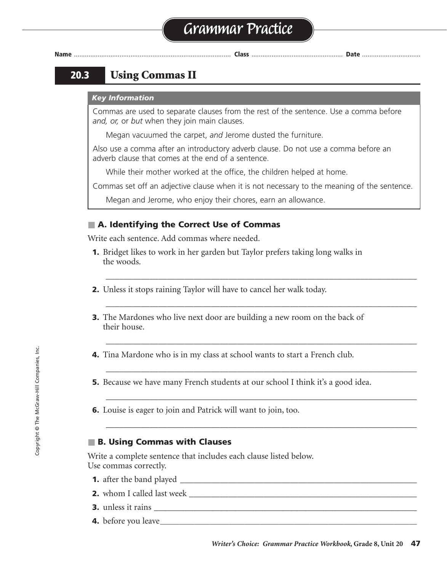

# **20.3 Using Commas II**

#### *Key Information*

Commas are used to separate clauses from the rest of the sentence. Use a comma before *and, or,* or *but* when they join main clauses.

Megan vacuumed the carpet, *and* Jerome dusted the furniture.

Also use a comma after an introductory adverb clause. Do not use a comma before an adverb clause that comes at the end of a sentence.

While their mother worked at the office, the children helped at home.

Commas set off an adjective clause when it is not necessary to the meaning of the sentence.

\_\_\_\_\_\_\_\_\_\_\_\_\_\_\_\_\_\_\_\_\_\_\_\_\_\_\_\_\_\_\_\_\_\_\_\_\_\_\_\_\_\_\_\_\_\_\_\_\_\_\_\_\_\_\_\_\_\_\_\_\_\_\_\_\_\_\_\_\_\_\_

\_\_\_\_\_\_\_\_\_\_\_\_\_\_\_\_\_\_\_\_\_\_\_\_\_\_\_\_\_\_\_\_\_\_\_\_\_\_\_\_\_\_\_\_\_\_\_\_\_\_\_\_\_\_\_\_\_\_\_\_\_\_\_\_\_\_\_\_\_\_\_

\_\_\_\_\_\_\_\_\_\_\_\_\_\_\_\_\_\_\_\_\_\_\_\_\_\_\_\_\_\_\_\_\_\_\_\_\_\_\_\_\_\_\_\_\_\_\_\_\_\_\_\_\_\_\_\_\_\_\_\_\_\_\_\_\_\_\_\_\_\_\_

\_\_\_\_\_\_\_\_\_\_\_\_\_\_\_\_\_\_\_\_\_\_\_\_\_\_\_\_\_\_\_\_\_\_\_\_\_\_\_\_\_\_\_\_\_\_\_\_\_\_\_\_\_\_\_\_\_\_\_\_\_\_\_\_\_\_\_\_\_\_\_

\_\_\_\_\_\_\_\_\_\_\_\_\_\_\_\_\_\_\_\_\_\_\_\_\_\_\_\_\_\_\_\_\_\_\_\_\_\_\_\_\_\_\_\_\_\_\_\_\_\_\_\_\_\_\_\_\_\_\_\_\_\_\_\_\_\_\_\_\_\_\_

\_\_\_\_\_\_\_\_\_\_\_\_\_\_\_\_\_\_\_\_\_\_\_\_\_\_\_\_\_\_\_\_\_\_\_\_\_\_\_\_\_\_\_\_\_\_\_\_\_\_\_\_\_\_\_\_\_\_\_\_\_\_\_\_\_\_\_\_\_\_\_

Megan and Jerome, who enjoy their chores, earn an allowance.

### ■ **A. Identifying the Correct Use of Commas**

Write each sentence. Add commas where needed.

- **1.** Bridget likes to work in her garden but Taylor prefers taking long walks in the woods.
- **2.** Unless it stops raining Taylor will have to cancel her walk today.
- **3.** The Mardones who live next door are building a new room on the back of their house.
- **4.** Tina Mardone who is in my class at school wants to start a French club.
- **5.** Because we have many French students at our school I think it's a good idea.
- **6.** Louise is eager to join and Patrick will want to join, too.

### ■ **B. Using Commas with Clauses**

Write a complete sentence that includes each clause listed below. Use commas correctly.

- **1.** after the band played \_\_\_\_\_\_\_\_\_\_\_\_\_\_\_\_\_\_\_\_\_\_\_\_\_\_\_\_\_\_\_\_\_\_\_\_\_\_\_\_\_\_\_\_\_\_\_\_\_\_\_\_\_\_
- **2.** whom I called last week \_\_\_\_\_\_\_\_\_\_\_\_\_\_\_\_\_\_\_\_\_\_\_\_\_\_\_\_\_\_\_\_\_\_\_\_\_\_\_\_\_\_\_\_\_\_\_\_\_\_\_\_
- **3.** unless it rains
- **4.** before you leave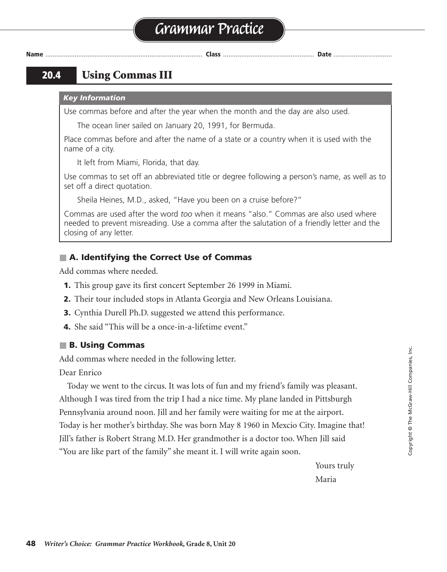# **Grammar Practice**

**Name** ...................................................................................... **Class** .................................................. **Date** ................................

# **20.4 Using Commas III**

#### *Key Information*

Use commas before and after the year when the month and the day are also used.

The ocean liner sailed on January 20, 1991, for Bermuda.

Place commas before and after the name of a state or a country when it is used with the name of a city.

It left from Miami, Florida, that day.

Use commas to set off an abbreviated title or degree following a person's name, as well as to set off a direct quotation.

Sheila Heines, M.D., asked, "Have you been on a cruise before?"

Commas are used after the word *too* when it means "also." Commas are also used where needed to prevent misreading. Use a comma after the salutation of a friendly letter and the closing of any letter.

### ■ **A. Identifying the Correct Use of Commas**

Add commas where needed.

- **1.** This group gave its first concert September 26 1999 in Miami.
- **2.** Their tour included stops in Atlanta Georgia and New Orleans Louisiana.
- **3.** Cynthia Durell Ph.D. suggested we attend this performance.
- **4.** She said "This will be a once-in-a-lifetime event."

### ■ **B. Using Commas**

Add commas where needed in the following letter.

Dear Enrico

ear Enrico<br>Today we went to the circus. It was lots of fun and my friend's family was pleasant. Although I was tired from the trip I had a nice time. My plane landed in Pittsburgh Pennsylvania around noon. Jill and her family were waiting for me at the airport. Today is her mother's birthday. She was born May 8 1960 in Mexcio City. Imagine that! Jill's father is Robert Strang M.D. Her grandmother is a doctor too. When Jill said "You are like part of the family" she meant it. I will write again soon. ^ , I had a nice time. My plane landed in Pittsburgh  $\frac{1}{2}$  ,  $\frac{1}{2}$  ,  $\frac{1}{2}$  ,  $\frac{1}{2}$  ,  $\frac{1}{2}$  ,  $\frac{1}{2}$  ,  $\frac{1}{2}$  ,  $\frac{1}{2}$  ,  $\frac{1}{2}$  ,  $\frac{1}{2}$  ,  $\frac{1}{2}$  ,  $\frac{1}{2}$  ,  $\frac{1}{2}$  ,  $\frac{1}{2}$  ,  $\frac{1}{2}$  ,  $\frac{1}{2}$  ,  $\frac{1}{2}$  ,  $\frac{1}{2}$  ,  $\frac{1$  $M.D.$  Her grandmother is a doctor  $\ddot{\phantom{a}}$ 

> Yours truly Maria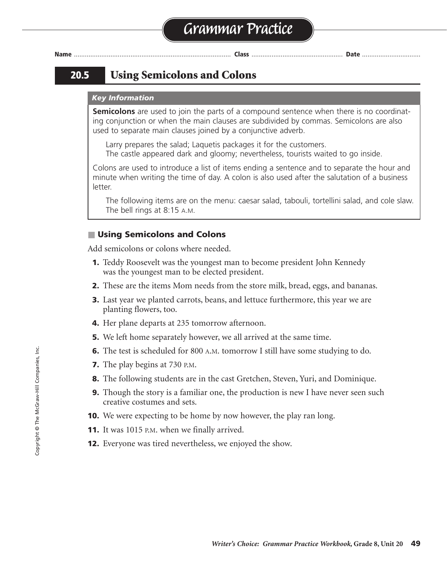# **20.5 Using Semicolons and Colons**

#### *Key Information*

**Semicolons** are used to join the parts of a compound sentence when there is no coordinating conjunction or when the main clauses are subdivided by commas. Semicolons are also used to separate main clauses joined by a conjunctive adverb.

Larry prepares the salad; Laquetis packages it for the customers. The castle appeared dark and gloomy; nevertheless, tourists waited to go inside.

Colons are used to introduce a list of items ending a sentence and to separate the hour and minute when writing the time of day. A colon is also used after the salutation of a business letter.

The following items are on the menu: caesar salad, tabouli, tortellini salad, and cole slaw. The bell rings at 8:15 A.M.

#### ■ Using Semicolons and Colons

Add semicolons or colons where needed.

- **1.** Teddy Roosevelt was the youngest man to become president John Kennedy was the youngest man to be elected president.
- **2.** These are the items Mom needs from the store milk, bread, eggs, and bananas.
- **3.** Last year we planted carrots, beans, and lettuce furthermore, this year we are planting flowers, too.
- **4.** Her plane departs at 235 tomorrow afternoon.
- **5.** We left home separately however, we all arrived at the same time.
- **6.** The test is scheduled for 800 A.M. tomorrow I still have some studying to do.
- **7.** The play begins at 730 P.M.
- **8.** The following students are in the cast Gretchen, Steven, Yuri, and Dominique.
- **9.** Though the story is a familiar one, the production is new I have never seen such creative costumes and sets.
- **10.** We were expecting to be home by now however, the play ran long.
- **11.** It was 1015 P.M. when we finally arrived.
- **12.** Everyone was tired nevertheless, we enjoyed the show.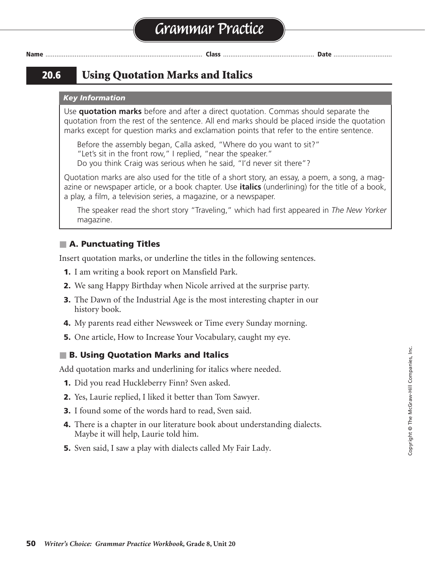# **20.6 Using Quotation Marks and Italics**

#### *Key Information*

Use **quotation marks** before and after a direct quotation. Commas should separate the quotation from the rest of the sentence. All end marks should be placed inside the quotation marks except for question marks and exclamation points that refer to the entire sentence.

Before the assembly began, Calla asked, "Where do you want to sit?" "Let's sit in the front row," I replied, "near the speaker." Do you think Craig was serious when he said, "I'd never sit there"?

Quotation marks are also used for the title of a short story, an essay, a poem, a song, a magazine or newspaper article, or a book chapter. Use **italics** (underlining) for the title of a book, a play, a film, a television series, a magazine, or a newspaper.

The speaker read the short story "Traveling," which had first appeared in *The New Yorker*  magazine.

### ■ **A. Punctuating Titles**

Insert quotation marks, or underline the titles in the following sentences.

- **1.** I am writing a book report on Mansfield Park.
- **2.** We sang Happy Birthday when Nicole arrived at the surprise party.
- **3.** The Dawn of the Industrial Age is the most interesting chapter in our history book.
- **4.** My parents read either Newsweek or Time every Sunday morning.
- **5.** One article, How to Increase Your Vocabulary, caught my eye.

### ■ **B. Using Quotation Marks and Italics**

Add quotation marks and underlining for italics where needed.

- **1.** Did you read Huckleberry Finn? Sven asked.
- **2.** Yes, Laurie replied, I liked it better than Tom Sawyer.
- **3.** I found some of the words hard to read, Sven said.
- **4.** There is a chapter in our literature book about understanding dialects. " Maybe it will help, Laurie told him. "
- **5.** Sven said, I saw a play with dialects called My Fair Lady.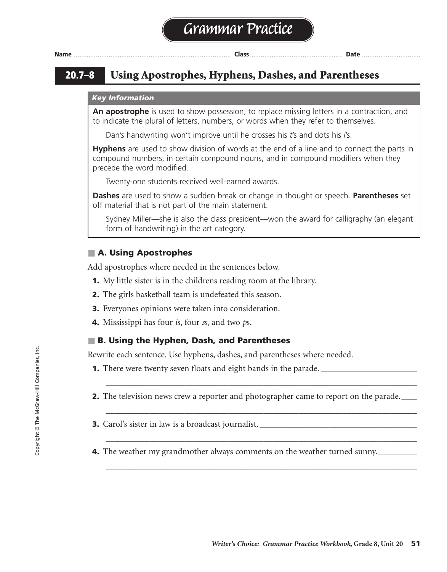# **20.7–8 Using Apostrophes, Hyphens, Dashes, and Parentheses**

#### *Key Information*

**An apostrophe** is used to show possession, to replace missing letters in a contraction, and to indicate the plural of letters, numbers, or words when they refer to themselves.

Dan's handwriting won't improve until he crosses his *t*'s and dots his *i*'s.

**Hyphens** are used to show division of words at the end of a line and to connect the parts in compound numbers, in certain compound nouns, and in compound modifiers when they precede the word modified.

Twenty-one students received well-earned awards.

**Dashes** are used to show a sudden break or change in thought or speech. **Parentheses** set off material that is not part of the main statement.

Sydney Miller—she is also the class president—won the award for calligraphy (an elegant form of handwriting) in the art category.

### ■ **A. Using Apostrophes**

Add apostrophes where needed in the sentences below.

- **1.** My little sister is in the childrens reading room at the library. '
- **2.** The girls basketball team is undefeated this season. '
- **3.** Everyones opinions were taken into consideration. '
- **4.** Mississippi has four *i*s, four *s*s, and two *p*s.

### ■ **B. Using the Hyphen, Dash, and Parentheses**

Rewrite each sentence. Use hyphens, dashes, and parentheses where needed.

- **1.** There were twenty seven floats and eight bands in the parade.
- **2.** The television news crew a reporter and photographer came to report on the parade.

\_\_\_\_\_\_\_\_\_\_\_\_\_\_\_\_\_\_\_\_\_\_\_\_\_\_\_\_\_\_\_\_\_\_\_\_\_\_\_\_\_\_\_\_\_\_\_\_\_\_\_\_\_\_\_\_\_\_\_\_\_\_\_\_\_\_\_\_\_\_\_

\_\_\_\_\_\_\_\_\_\_\_\_\_\_\_\_\_\_\_\_\_\_\_\_\_\_\_\_\_\_\_\_\_\_\_\_\_\_\_\_\_\_\_\_\_\_\_\_\_\_\_\_\_\_\_\_\_\_\_\_\_\_\_\_\_\_\_\_\_\_\_

\_\_\_\_\_\_\_\_\_\_\_\_\_\_\_\_\_\_\_\_\_\_\_\_\_\_\_\_\_\_\_\_\_\_\_\_\_\_\_\_\_\_\_\_\_\_\_\_\_\_\_\_\_\_\_\_\_\_\_\_\_\_\_\_\_\_\_\_\_\_\_

\_\_\_\_\_\_\_\_\_\_\_\_\_\_\_\_\_\_\_\_\_\_\_\_\_\_\_\_\_\_\_\_\_\_\_\_\_\_\_\_\_\_\_\_\_\_\_\_\_\_\_\_\_\_\_\_\_\_\_\_\_\_\_\_\_\_\_\_\_\_\_

- **3.** Carol's sister in law is a broadcast journalist.
- **4.** The weather my grandmother always comments on the weather turned sunny.**\_\_\_\_\_\_\_\_\_\_**